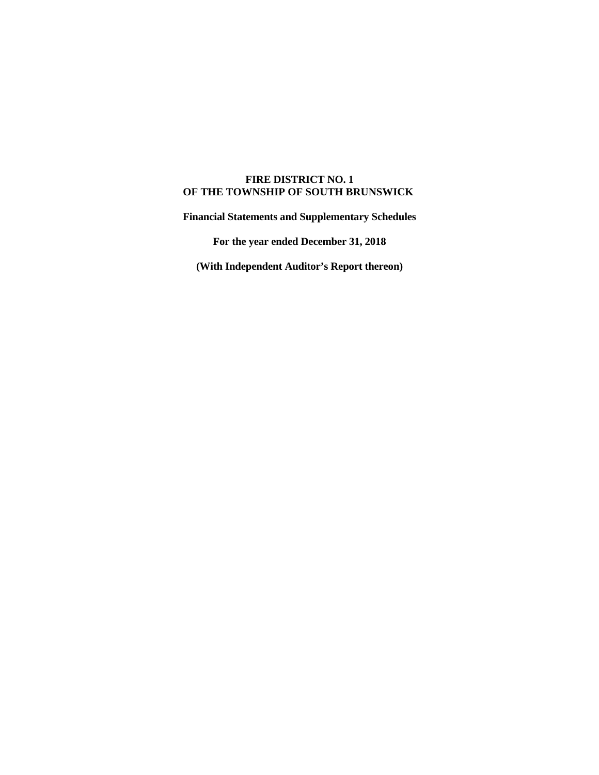# **FIRE DISTRICT NO. 1 OF THE TOWNSHIP OF SOUTH BRUNSWICK**

**Financial Statements and Supplementary Schedules** 

**For the year ended December 31, 2018** 

**(With Independent Auditor's Report thereon)**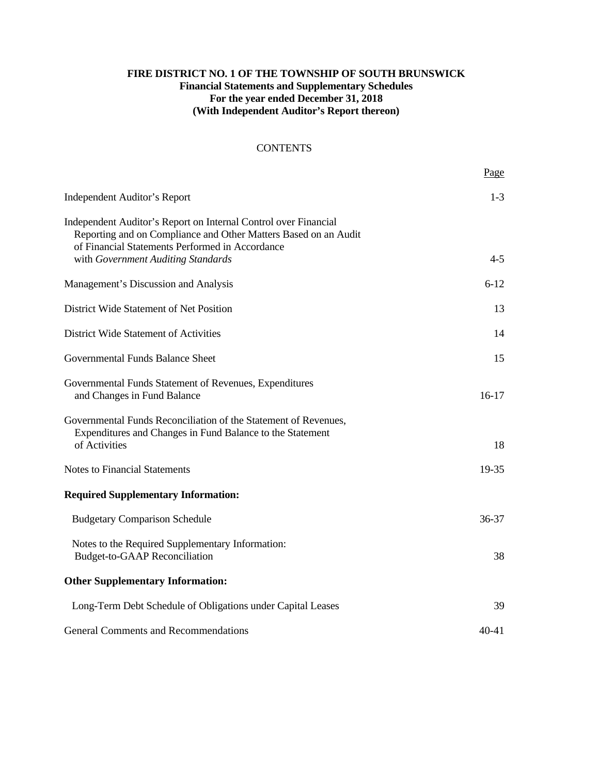# **FIRE DISTRICT NO. 1 OF THE TOWNSHIP OF SOUTH BRUNSWICK Financial Statements and Supplementary Schedules For the year ended December 31, 2018 (With Independent Auditor's Report thereon)**

# **CONTENTS**

|                                                                                                                                                                                       | Page      |
|---------------------------------------------------------------------------------------------------------------------------------------------------------------------------------------|-----------|
| <b>Independent Auditor's Report</b>                                                                                                                                                   | $1-3$     |
| Independent Auditor's Report on Internal Control over Financial<br>Reporting and on Compliance and Other Matters Based on an Audit<br>of Financial Statements Performed in Accordance |           |
| with Government Auditing Standards                                                                                                                                                    | $4 - 5$   |
| Management's Discussion and Analysis                                                                                                                                                  | $6 - 12$  |
| District Wide Statement of Net Position                                                                                                                                               | 13        |
| District Wide Statement of Activities                                                                                                                                                 | 14        |
| Governmental Funds Balance Sheet                                                                                                                                                      | 15        |
| Governmental Funds Statement of Revenues, Expenditures<br>and Changes in Fund Balance                                                                                                 | $16-17$   |
| Governmental Funds Reconciliation of the Statement of Revenues,<br>Expenditures and Changes in Fund Balance to the Statement<br>of Activities                                         | 18        |
| <b>Notes to Financial Statements</b>                                                                                                                                                  | 19-35     |
| <b>Required Supplementary Information:</b>                                                                                                                                            |           |
| <b>Budgetary Comparison Schedule</b>                                                                                                                                                  | $36 - 37$ |
| Notes to the Required Supplementary Information:<br><b>Budget-to-GAAP Reconciliation</b>                                                                                              | 38        |
| <b>Other Supplementary Information:</b>                                                                                                                                               |           |
| Long-Term Debt Schedule of Obligations under Capital Leases                                                                                                                           | 39        |
| <b>General Comments and Recommendations</b>                                                                                                                                           | 40-41     |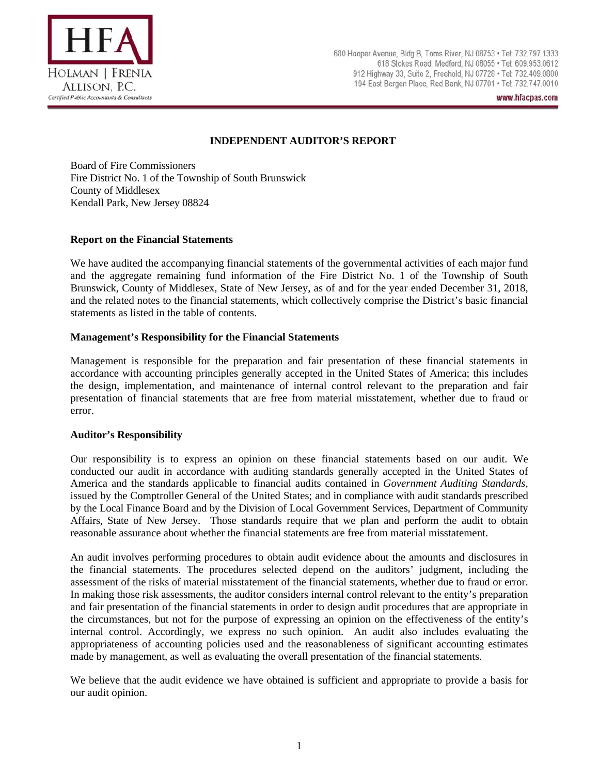

680 Hooper Avenue, Bldg B, Toms River, NJ 08753 · Tel: 732.797.1333 618 Stokes Road, Medford, NJ 08055 · Tel: 609.953.0612 912 Highway 33, Suite 2, Freehold, NJ 07728 · Tel: 732.409.0800 194 East Bergen Place, Red Bank, NJ 07701 · Tel: 732.747.0010

www.hfacpas.com

# **INDEPENDENT AUDITOR'S REPORT**

Board of Fire Commissioners Fire District No. 1 of the Township of South Brunswick County of Middlesex Kendall Park, New Jersey 08824

# **Report on the Financial Statements**

We have audited the accompanying financial statements of the governmental activities of each major fund and the aggregate remaining fund information of the Fire District No. 1 of the Township of South Brunswick, County of Middlesex, State of New Jersey, as of and for the year ended December 31, 2018, and the related notes to the financial statements, which collectively comprise the District's basic financial statements as listed in the table of contents.

# **Management's Responsibility for the Financial Statements**

Management is responsible for the preparation and fair presentation of these financial statements in accordance with accounting principles generally accepted in the United States of America; this includes the design, implementation, and maintenance of internal control relevant to the preparation and fair presentation of financial statements that are free from material misstatement, whether due to fraud or error.

#### **Auditor's Responsibility**

Our responsibility is to express an opinion on these financial statements based on our audit. We conducted our audit in accordance with auditing standards generally accepted in the United States of America and the standards applicable to financial audits contained in *Government Auditing Standards,* issued by the Comptroller General of the United States; and in compliance with audit standards prescribed by the Local Finance Board and by the Division of Local Government Services, Department of Community Affairs, State of New Jersey. Those standards require that we plan and perform the audit to obtain reasonable assurance about whether the financial statements are free from material misstatement.

An audit involves performing procedures to obtain audit evidence about the amounts and disclosures in the financial statements. The procedures selected depend on the auditors' judgment, including the assessment of the risks of material misstatement of the financial statements, whether due to fraud or error. In making those risk assessments, the auditor considers internal control relevant to the entity's preparation and fair presentation of the financial statements in order to design audit procedures that are appropriate in the circumstances, but not for the purpose of expressing an opinion on the effectiveness of the entity's internal control. Accordingly, we express no such opinion. An audit also includes evaluating the appropriateness of accounting policies used and the reasonableness of significant accounting estimates made by management, as well as evaluating the overall presentation of the financial statements.

We believe that the audit evidence we have obtained is sufficient and appropriate to provide a basis for our audit opinion.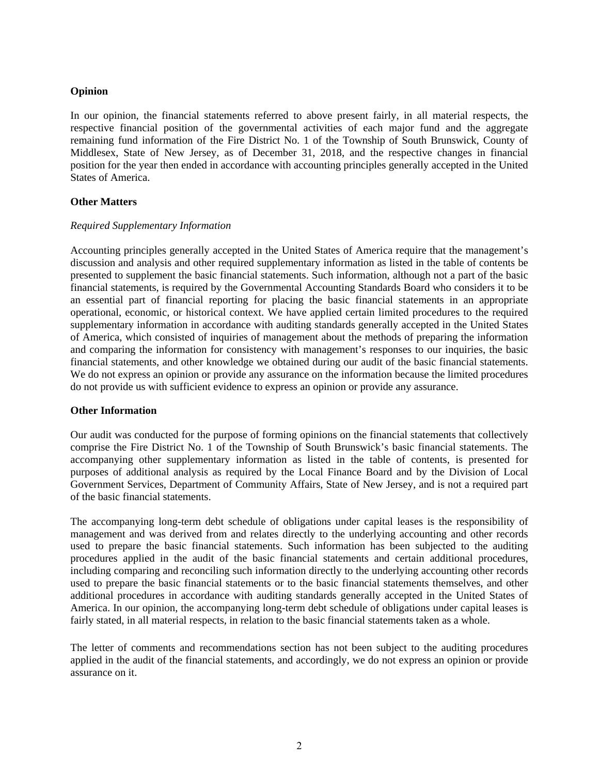## **Opinion**

In our opinion, the financial statements referred to above present fairly, in all material respects, the respective financial position of the governmental activities of each major fund and the aggregate remaining fund information of the Fire District No. 1 of the Township of South Brunswick, County of Middlesex, State of New Jersey, as of December 31, 2018, and the respective changes in financial position for the year then ended in accordance with accounting principles generally accepted in the United States of America.

# **Other Matters**

#### *Required Supplementary Information*

Accounting principles generally accepted in the United States of America require that the management's discussion and analysis and other required supplementary information as listed in the table of contents be presented to supplement the basic financial statements. Such information, although not a part of the basic financial statements, is required by the Governmental Accounting Standards Board who considers it to be an essential part of financial reporting for placing the basic financial statements in an appropriate operational, economic, or historical context. We have applied certain limited procedures to the required supplementary information in accordance with auditing standards generally accepted in the United States of America, which consisted of inquiries of management about the methods of preparing the information and comparing the information for consistency with management's responses to our inquiries, the basic financial statements, and other knowledge we obtained during our audit of the basic financial statements. We do not express an opinion or provide any assurance on the information because the limited procedures do not provide us with sufficient evidence to express an opinion or provide any assurance.

#### **Other Information**

Our audit was conducted for the purpose of forming opinions on the financial statements that collectively comprise the Fire District No. 1 of the Township of South Brunswick's basic financial statements. The accompanying other supplementary information as listed in the table of contents, is presented for purposes of additional analysis as required by the Local Finance Board and by the Division of Local Government Services, Department of Community Affairs, State of New Jersey, and is not a required part of the basic financial statements.

The accompanying long-term debt schedule of obligations under capital leases is the responsibility of management and was derived from and relates directly to the underlying accounting and other records used to prepare the basic financial statements. Such information has been subjected to the auditing procedures applied in the audit of the basic financial statements and certain additional procedures, including comparing and reconciling such information directly to the underlying accounting other records used to prepare the basic financial statements or to the basic financial statements themselves, and other additional procedures in accordance with auditing standards generally accepted in the United States of America. In our opinion, the accompanying long-term debt schedule of obligations under capital leases is fairly stated, in all material respects, in relation to the basic financial statements taken as a whole.

The letter of comments and recommendations section has not been subject to the auditing procedures applied in the audit of the financial statements, and accordingly, we do not express an opinion or provide assurance on it.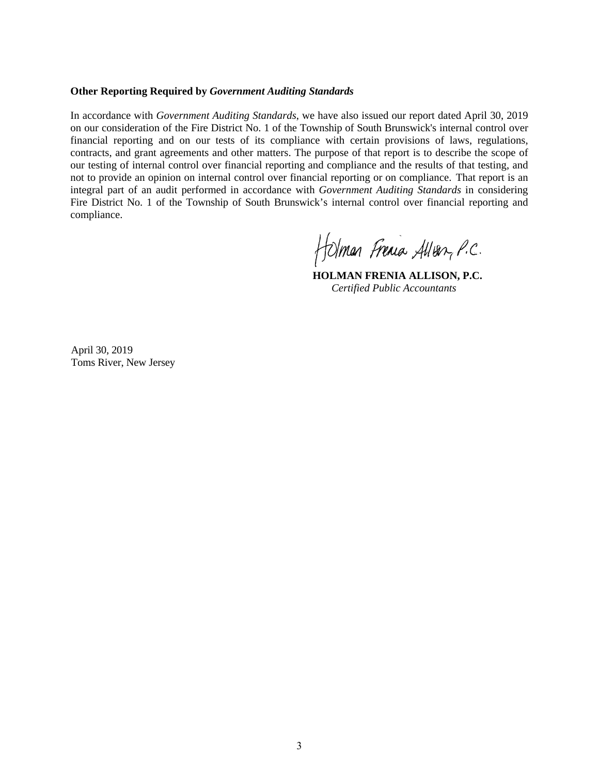#### **Other Reporting Required by** *Government Auditing Standards*

In accordance with *Government Auditing Standards*, we have also issued our report dated April 30, 2019 on our consideration of the Fire District No. 1 of the Township of South Brunswick's internal control over financial reporting and on our tests of its compliance with certain provisions of laws, regulations, contracts, and grant agreements and other matters. The purpose of that report is to describe the scope of our testing of internal control over financial reporting and compliance and the results of that testing, and not to provide an opinion on internal control over financial reporting or on compliance. That report is an integral part of an audit performed in accordance with *Government Auditing Standards* in considering Fire District No. 1 of the Township of South Brunswick's internal control over financial reporting and compliance.

Holman Frenia Allver, P.C.

 **HOLMAN FRENIA ALLISON, P.C.**  *Certified Public Accountants* 

April 30, 2019 Toms River, New Jersey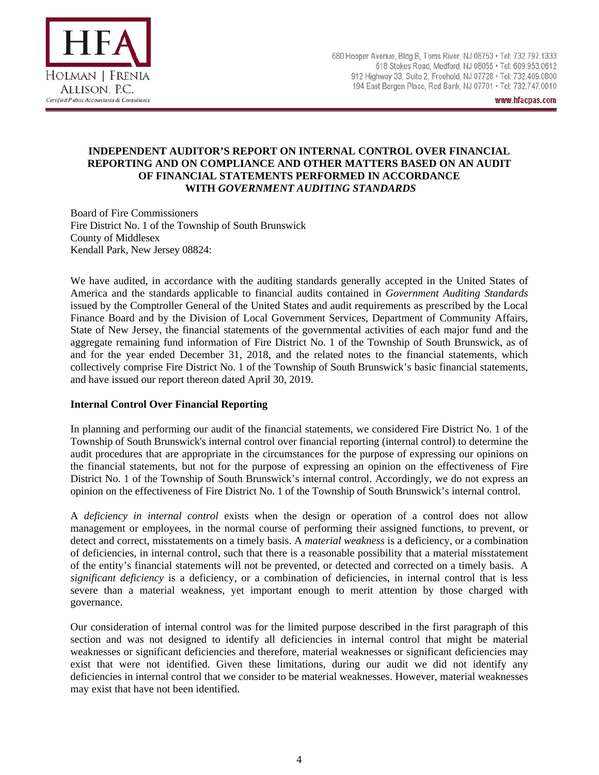

www.hfacpas.com

# **INDEPENDENT AUDITOR'S REPORT ON INTERNAL CONTROL OVER FINANCIAL REPORTING AND ON COMPLIANCE AND OTHER MATTERS BASED ON AN AUDIT OF FINANCIAL STATEMENTS PERFORMED IN ACCORDANCE WITH** *GOVERNMENT AUDITING STANDARDS*

Board of Fire Commissioners Fire District No. 1 of the Township of South Brunswick County of Middlesex Kendall Park, New Jersey 08824:

We have audited, in accordance with the auditing standards generally accepted in the United States of America and the standards applicable to financial audits contained in *Government Auditing Standards*  issued by the Comptroller General of the United States and audit requirements as prescribed by the Local Finance Board and by the Division of Local Government Services, Department of Community Affairs, State of New Jersey, the financial statements of the governmental activities of each major fund and the aggregate remaining fund information of Fire District No. 1 of the Township of South Brunswick, as of and for the year ended December 31, 2018, and the related notes to the financial statements, which collectively comprise Fire District No. 1 of the Township of South Brunswick's basic financial statements, and have issued our report thereon dated April 30, 2019.

# **Internal Control Over Financial Reporting**

In planning and performing our audit of the financial statements, we considered Fire District No. 1 of the Township of South Brunswick's internal control over financial reporting (internal control) to determine the audit procedures that are appropriate in the circumstances for the purpose of expressing our opinions on the financial statements, but not for the purpose of expressing an opinion on the effectiveness of Fire District No. 1 of the Township of South Brunswick's internal control. Accordingly, we do not express an opinion on the effectiveness of Fire District No. 1 of the Township of South Brunswick's internal control.

A *deficiency in internal control* exists when the design or operation of a control does not allow management or employees, in the normal course of performing their assigned functions, to prevent, or detect and correct, misstatements on a timely basis. A *material weakness* is a deficiency, or a combination of deficiencies, in internal control, such that there is a reasonable possibility that a material misstatement of the entity's financial statements will not be prevented, or detected and corrected on a timely basis. A *significant deficiency* is a deficiency, or a combination of deficiencies, in internal control that is less severe than a material weakness, yet important enough to merit attention by those charged with governance.

Our consideration of internal control was for the limited purpose described in the first paragraph of this section and was not designed to identify all deficiencies in internal control that might be material weaknesses or significant deficiencies and therefore, material weaknesses or significant deficiencies may exist that were not identified. Given these limitations, during our audit we did not identify any deficiencies in internal control that we consider to be material weaknesses. However, material weaknesses may exist that have not been identified.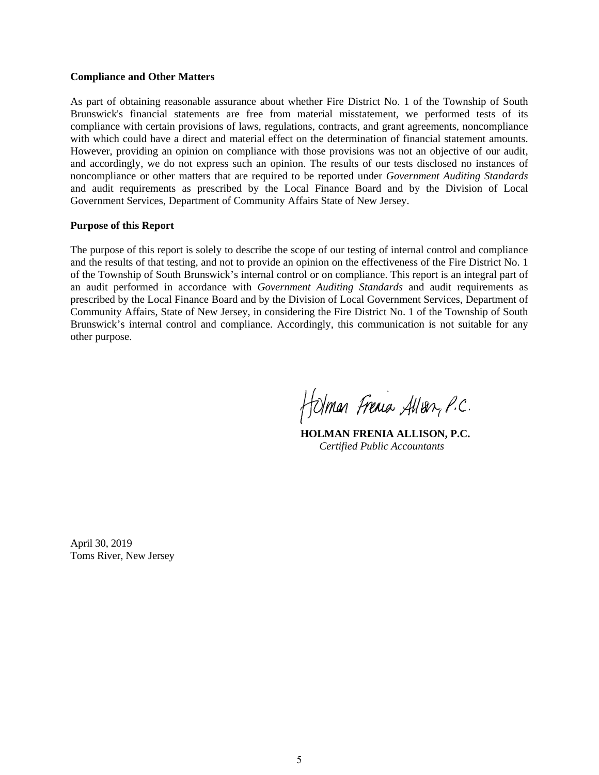#### **Compliance and Other Matters**

As part of obtaining reasonable assurance about whether Fire District No. 1 of the Township of South Brunswick's financial statements are free from material misstatement, we performed tests of its compliance with certain provisions of laws, regulations, contracts, and grant agreements, noncompliance with which could have a direct and material effect on the determination of financial statement amounts. However, providing an opinion on compliance with those provisions was not an objective of our audit, and accordingly, we do not express such an opinion. The results of our tests disclosed no instances of noncompliance or other matters that are required to be reported under *Government Auditing Standards*  and audit requirements as prescribed by the Local Finance Board and by the Division of Local Government Services, Department of Community Affairs State of New Jersey.

#### **Purpose of this Report**

The purpose of this report is solely to describe the scope of our testing of internal control and compliance and the results of that testing, and not to provide an opinion on the effectiveness of the Fire District No. 1 of the Township of South Brunswick's internal control or on compliance. This report is an integral part of an audit performed in accordance with *Government Auditing Standards* and audit requirements as prescribed by the Local Finance Board and by the Division of Local Government Services, Department of Community Affairs, State of New Jersey, in considering the Fire District No. 1 of the Township of South Brunswick's internal control and compliance. Accordingly, this communication is not suitable for any other purpose.

Holman Frenia Allan, P.C.

 **HOLMAN FRENIA ALLISON, P.C.**  *Certified Public Accountants* 

April 30, 2019 Toms River, New Jersey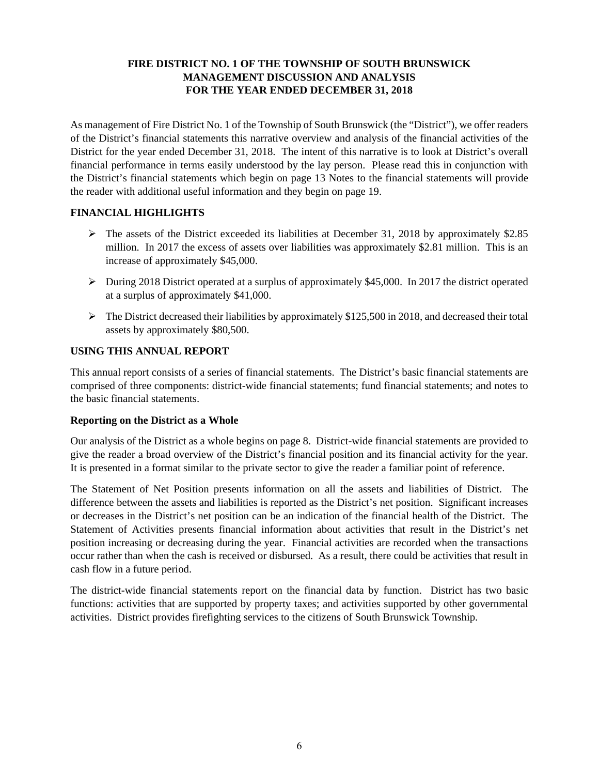# **FIRE DISTRICT NO. 1 OF THE TOWNSHIP OF SOUTH BRUNSWICK MANAGEMENT DISCUSSION AND ANALYSIS FOR THE YEAR ENDED DECEMBER 31, 2018**

As management of Fire District No. 1 of the Township of South Brunswick (the "District"), we offer readers of the District's financial statements this narrative overview and analysis of the financial activities of the District for the year ended December 31, 2018. The intent of this narrative is to look at District's overall financial performance in terms easily understood by the lay person. Please read this in conjunction with the District's financial statements which begin on page 13 Notes to the financial statements will provide the reader with additional useful information and they begin on page 19.

# **FINANCIAL HIGHLIGHTS**

- $\triangleright$  The assets of the District exceeded its liabilities at December 31, 2018 by approximately \$2.85 million. In 2017 the excess of assets over liabilities was approximately \$2.81 million. This is an increase of approximately \$45,000.
- $\triangleright$  During 2018 District operated at a surplus of approximately \$45,000. In 2017 the district operated at a surplus of approximately \$41,000.
- $\triangleright$  The District decreased their liabilities by approximately \$125,500 in 2018, and decreased their total assets by approximately \$80,500.

# **USING THIS ANNUAL REPORT**

This annual report consists of a series of financial statements. The District's basic financial statements are comprised of three components: district-wide financial statements; fund financial statements; and notes to the basic financial statements.

# **Reporting on the District as a Whole**

Our analysis of the District as a whole begins on page 8. District-wide financial statements are provided to give the reader a broad overview of the District's financial position and its financial activity for the year. It is presented in a format similar to the private sector to give the reader a familiar point of reference.

The Statement of Net Position presents information on all the assets and liabilities of District. The difference between the assets and liabilities is reported as the District's net position. Significant increases or decreases in the District's net position can be an indication of the financial health of the District. The Statement of Activities presents financial information about activities that result in the District's net position increasing or decreasing during the year. Financial activities are recorded when the transactions occur rather than when the cash is received or disbursed. As a result, there could be activities that result in cash flow in a future period.

The district-wide financial statements report on the financial data by function. District has two basic functions: activities that are supported by property taxes; and activities supported by other governmental activities. District provides firefighting services to the citizens of South Brunswick Township.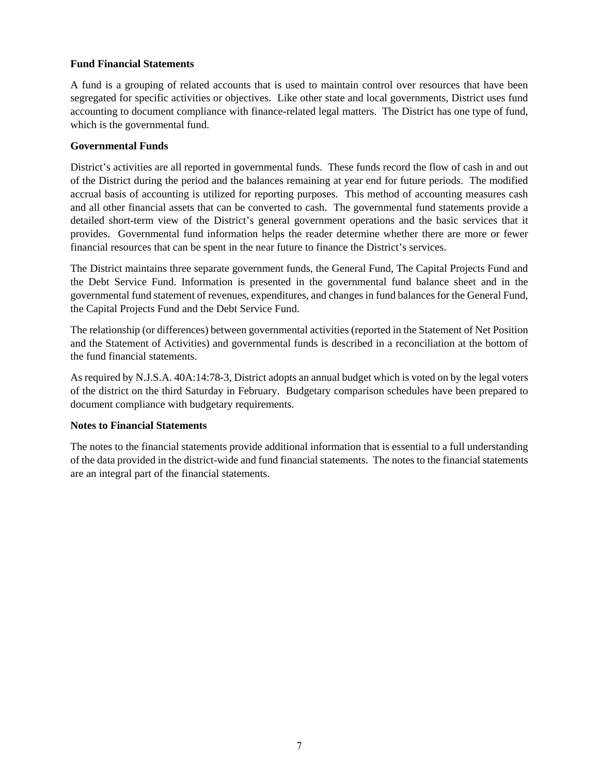# **Fund Financial Statements**

A fund is a grouping of related accounts that is used to maintain control over resources that have been segregated for specific activities or objectives. Like other state and local governments, District uses fund accounting to document compliance with finance-related legal matters. The District has one type of fund, which is the governmental fund.

# **Governmental Funds**

District's activities are all reported in governmental funds. These funds record the flow of cash in and out of the District during the period and the balances remaining at year end for future periods. The modified accrual basis of accounting is utilized for reporting purposes. This method of accounting measures cash and all other financial assets that can be converted to cash. The governmental fund statements provide a detailed short-term view of the District's general government operations and the basic services that it provides. Governmental fund information helps the reader determine whether there are more or fewer financial resources that can be spent in the near future to finance the District's services.

The District maintains three separate government funds, the General Fund, The Capital Projects Fund and the Debt Service Fund. Information is presented in the governmental fund balance sheet and in the governmental fund statement of revenues, expenditures, and changes in fund balances for the General Fund, the Capital Projects Fund and the Debt Service Fund.

The relationship (or differences) between governmental activities (reported in the Statement of Net Position and the Statement of Activities) and governmental funds is described in a reconciliation at the bottom of the fund financial statements.

As required by N.J.S.A. 40A:14:78-3, District adopts an annual budget which is voted on by the legal voters of the district on the third Saturday in February. Budgetary comparison schedules have been prepared to document compliance with budgetary requirements.

# **Notes to Financial Statements**

The notes to the financial statements provide additional information that is essential to a full understanding of the data provided in the district-wide and fund financial statements. The notes to the financial statements are an integral part of the financial statements.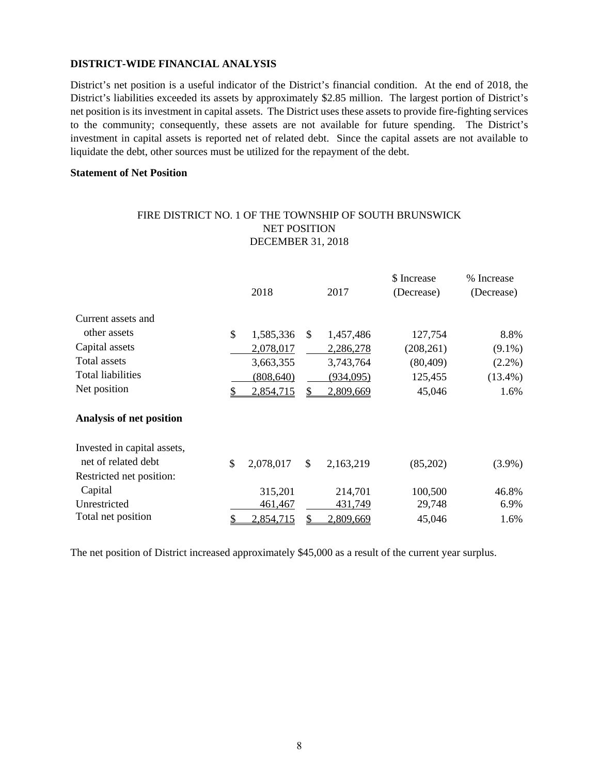# **DISTRICT-WIDE FINANCIAL ANALYSIS**

District's net position is a useful indicator of the District's financial condition. At the end of 2018, the District's liabilities exceeded its assets by approximately \$2.85 million. The largest portion of District's net position is its investment in capital assets. The District uses these assets to provide fire-fighting services to the community; consequently, these assets are not available for future spending. The District's investment in capital assets is reported net of related debt. Since the capital assets are not available to liquidate the debt, other sources must be utilized for the repayment of the debt.

# **Statement of Net Position**

# FIRE DISTRICT NO. 1 OF THE TOWNSHIP OF SOUTH BRUNSWICK NET POSITION DECEMBER 31, 2018

|                             | 2018            | 2017            | \$ Increase<br>(Decrease) | % Increase<br>(Decrease) |
|-----------------------------|-----------------|-----------------|---------------------------|--------------------------|
| Current assets and          |                 |                 |                           |                          |
| other assets                | \$<br>1,585,336 | \$<br>1,457,486 | 127,754                   | 8.8%                     |
| Capital assets              | 2,078,017       | 2,286,278       | (208, 261)                | $(9.1\%)$                |
| Total assets                | 3,663,355       | 3,743,764       | (80, 409)                 | $(2.2\%)$                |
| <b>Total liabilities</b>    | (808, 640)      | (934,095)       | 125,455                   | $(13.4\%)$               |
| Net position                | 2,854,715       | 2,809,669       | 45,046                    | 1.6%                     |
| Analysis of net position    |                 |                 |                           |                          |
| Invested in capital assets, |                 |                 |                           |                          |
| net of related debt         | \$<br>2,078,017 | \$<br>2,163,219 | (85,202)                  | $(3.9\%)$                |
| Restricted net position:    |                 |                 |                           |                          |
| Capital                     | 315,201         | 214,701         | 100,500                   | 46.8%                    |
| Unrestricted                | 461,467         | 431,749         | 29,748                    | 6.9%                     |
| Total net position          | \$<br>2,854,715 | 2,809,669       | 45,046                    | 1.6%                     |

The net position of District increased approximately \$45,000 as a result of the current year surplus.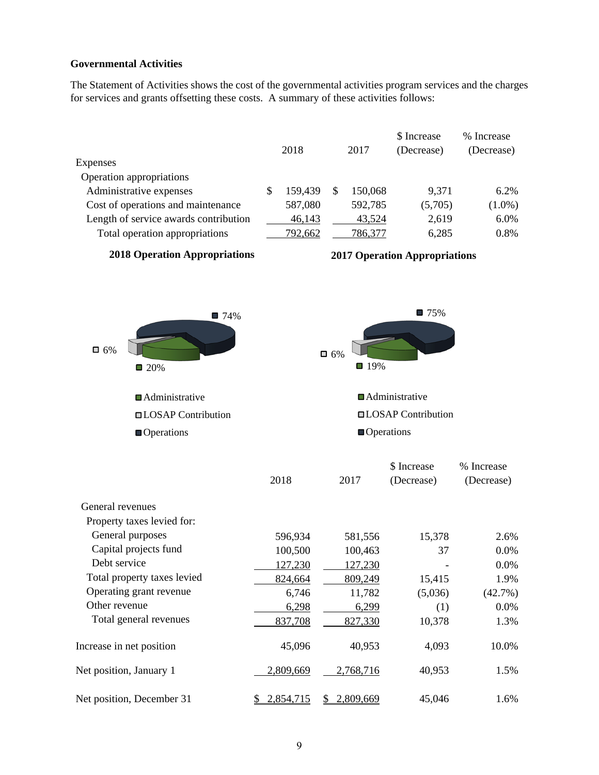# **Governmental Activities**

The Statement of Activities shows the cost of the governmental activities program services and the charges for services and grants offsetting these costs. A summary of these activities follows:

|                                       |   | 2018    |               | 2017    | \$ Increase<br>(Decrease)            | % Increase<br>(Decrease) |
|---------------------------------------|---|---------|---------------|---------|--------------------------------------|--------------------------|
| Expenses                              |   |         |               |         |                                      |                          |
| Operation appropriations              |   |         |               |         |                                      |                          |
| Administrative expenses               | S | 159,439 | <sup>\$</sup> | 150,068 | 9,371                                | $6.2\%$                  |
| Cost of operations and maintenance    |   | 587,080 |               | 592,785 | (5,705)                              | $(1.0\%)$                |
| Length of service awards contribution |   | 46,143  |               | 43,524  | 2,619                                | 6.0%                     |
| Total operation appropriations        |   | 792,662 |               | 786,377 | 6,285                                | 0.8%                     |
| <b>2018 Operation Appropriations</b>  |   |         |               |         | <b>2017 Operation Appropriations</b> |                          |



|                             | 2018      | 2017      | \$ Increase<br>(Decrease) | % Increase<br>(Decrease) |
|-----------------------------|-----------|-----------|---------------------------|--------------------------|
| General revenues            |           |           |                           |                          |
| Property taxes levied for:  |           |           |                           |                          |
| General purposes            | 596,934   | 581,556   | 15,378                    | 2.6%                     |
| Capital projects fund       | 100,500   | 100,463   | 37                        | 0.0%                     |
| Debt service                | 127,230   | 127,230   |                           | $0.0\%$                  |
| Total property taxes levied | 824,664   | 809,249   | 15,415                    | 1.9%                     |
| Operating grant revenue     | 6,746     | 11,782    | (5,036)                   | $(42.7\%)$               |
| Other revenue               | 6,298     | 6,299     | (1)                       | $0.0\%$                  |
| Total general revenues      | 837,708   | 827,330   | 10,378                    | 1.3%                     |
| Increase in net position    | 45,096    | 40,953    | 4,093                     | 10.0%                    |
| Net position, January 1     | 2,809,669 | 2,768,716 | 40,953                    | 1.5%                     |
| Net position, December 31   | 2,854,715 | 2,809,669 | 45,046                    | 1.6%                     |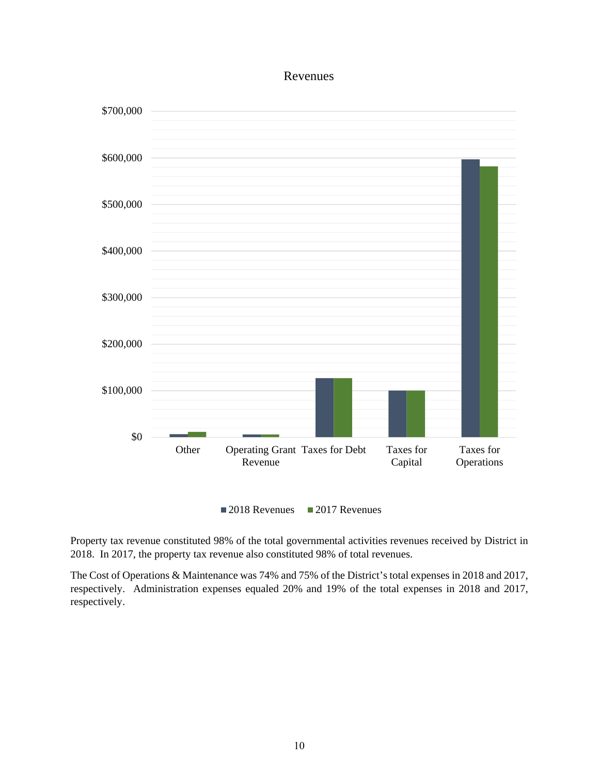# Revenues



2018 Revenues 2017 Revenues

Property tax revenue constituted 98% of the total governmental activities revenues received by District in 2018. In 2017, the property tax revenue also constituted 98% of total revenues.

The Cost of Operations & Maintenance was 74% and 75% of the District's total expenses in 2018 and 2017, respectively. Administration expenses equaled 20% and 19% of the total expenses in 2018 and 2017, respectively.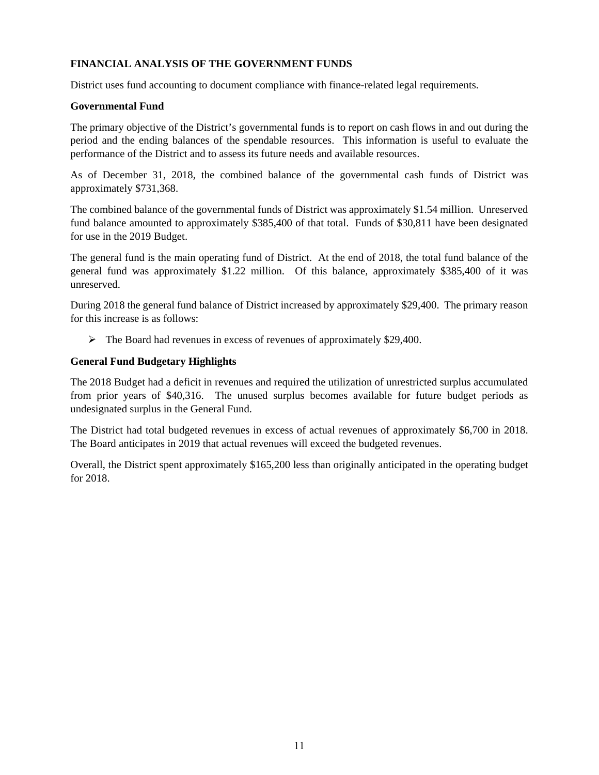# **FINANCIAL ANALYSIS OF THE GOVERNMENT FUNDS**

District uses fund accounting to document compliance with finance-related legal requirements.

# **Governmental Fund**

The primary objective of the District's governmental funds is to report on cash flows in and out during the period and the ending balances of the spendable resources. This information is useful to evaluate the performance of the District and to assess its future needs and available resources.

As of December 31, 2018, the combined balance of the governmental cash funds of District was approximately \$731,368.

The combined balance of the governmental funds of District was approximately \$1.54 million. Unreserved fund balance amounted to approximately \$385,400 of that total. Funds of \$30,811 have been designated for use in the 2019 Budget.

The general fund is the main operating fund of District. At the end of 2018, the total fund balance of the general fund was approximately \$1.22 million. Of this balance, approximately \$385,400 of it was unreserved.

During 2018 the general fund balance of District increased by approximately \$29,400. The primary reason for this increase is as follows:

 $\triangleright$  The Board had revenues in excess of revenues of approximately \$29,400.

# **General Fund Budgetary Highlights**

The 2018 Budget had a deficit in revenues and required the utilization of unrestricted surplus accumulated from prior years of \$40,316. The unused surplus becomes available for future budget periods as undesignated surplus in the General Fund.

The District had total budgeted revenues in excess of actual revenues of approximately \$6,700 in 2018. The Board anticipates in 2019 that actual revenues will exceed the budgeted revenues.

Overall, the District spent approximately \$165,200 less than originally anticipated in the operating budget for 2018.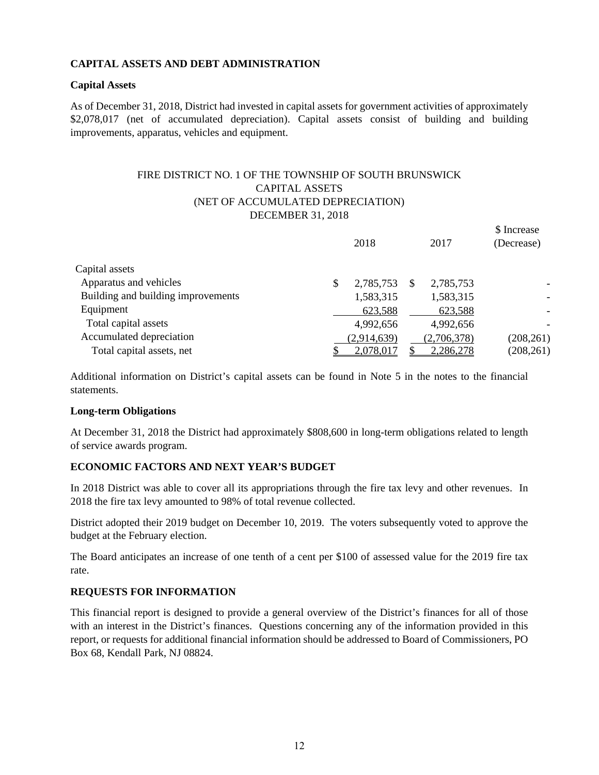# **CAPITAL ASSETS AND DEBT ADMINISTRATION**

# **Capital Assets**

As of December 31, 2018, District had invested in capital assets for government activities of approximately \$2,078,017 (net of accumulated depreciation). Capital assets consist of building and building improvements, apparatus, vehicles and equipment.

# FIRE DISTRICT NO. 1 OF THE TOWNSHIP OF SOUTH BRUNSWICK CAPITAL ASSETS (NET OF ACCUMULATED DEPRECIATION) DECEMBER 31, 2018

|                                    |   | 2018        |    | 2017        | \$ Increase<br>(Decrease) |
|------------------------------------|---|-------------|----|-------------|---------------------------|
| Capital assets                     |   |             |    |             |                           |
| Apparatus and vehicles             | S | 2,785,753   | -S | 2,785,753   |                           |
| Building and building improvements |   | 1,583,315   |    | 1,583,315   |                           |
| Equipment                          |   | 623,588     |    | 623,588     |                           |
| Total capital assets               |   | 4,992,656   |    | 4,992,656   |                           |
| Accumulated depreciation           |   | (2,914,639) |    | (2,706,378) | (208, 261)                |
| Total capital assets, net          |   | 2,078,017   |    | 2,286,278   | (208, 261)                |

Additional information on District's capital assets can be found in Note 5 in the notes to the financial statements.

#### **Long-term Obligations**

At December 31, 2018 the District had approximately \$808,600 in long-term obligations related to length of service awards program.

# **ECONOMIC FACTORS AND NEXT YEAR'S BUDGET**

In 2018 District was able to cover all its appropriations through the fire tax levy and other revenues. In 2018 the fire tax levy amounted to 98% of total revenue collected.

District adopted their 2019 budget on December 10, 2019. The voters subsequently voted to approve the budget at the February election.

The Board anticipates an increase of one tenth of a cent per \$100 of assessed value for the 2019 fire tax rate.

# **REQUESTS FOR INFORMATION**

This financial report is designed to provide a general overview of the District's finances for all of those with an interest in the District's finances. Questions concerning any of the information provided in this report, or requests for additional financial information should be addressed to Board of Commissioners, PO Box 68, Kendall Park, NJ 08824.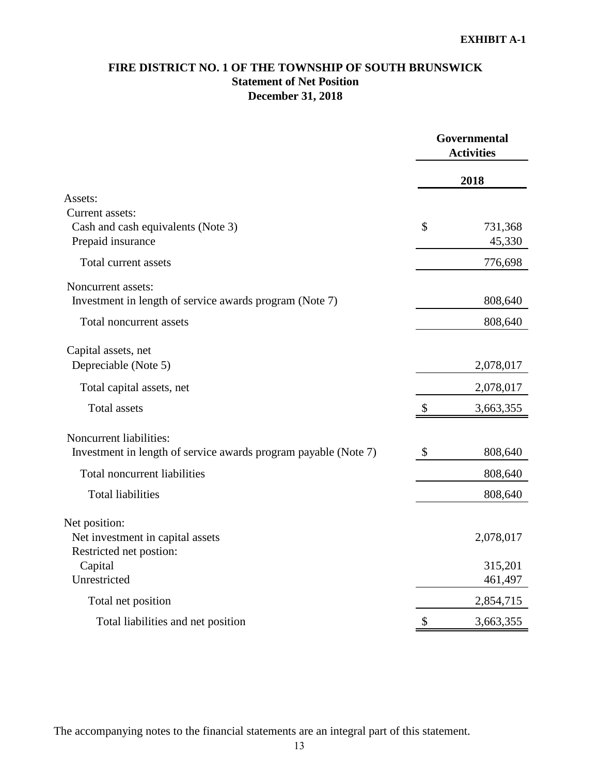# **FIRE DISTRICT NO. 1 OF THE TOWNSHIP OF SOUTH BRUNSWICK Statement of Net Position December 31, 2018**

|                                                                 | Governmental<br><b>Activities</b> |           |
|-----------------------------------------------------------------|-----------------------------------|-----------|
|                                                                 |                                   | 2018      |
| Assets:                                                         |                                   |           |
| Current assets:                                                 | \$                                | 731,368   |
| Cash and cash equivalents (Note 3)<br>Prepaid insurance         |                                   | 45,330    |
| Total current assets                                            |                                   | 776,698   |
| Noncurrent assets:                                              |                                   |           |
| Investment in length of service awards program (Note 7)         |                                   | 808,640   |
| Total noncurrent assets                                         |                                   | 808,640   |
| Capital assets, net                                             |                                   |           |
| Depreciable (Note 5)                                            |                                   | 2,078,017 |
| Total capital assets, net                                       |                                   | 2,078,017 |
| <b>Total assets</b>                                             | \$                                | 3,663,355 |
| Noncurrent liabilities:                                         |                                   |           |
| Investment in length of service awards program payable (Note 7) | \$                                | 808,640   |
| Total noncurrent liabilities                                    |                                   | 808,640   |
| <b>Total liabilities</b>                                        |                                   | 808,640   |
| Net position:                                                   |                                   |           |
| Net investment in capital assets                                |                                   | 2,078,017 |
| Restricted net postion:<br>Capital                              |                                   | 315,201   |
| Unrestricted                                                    |                                   | 461,497   |
| Total net position                                              |                                   | 2,854,715 |
| Total liabilities and net position                              | \$                                | 3,663,355 |

The accompanying notes to the financial statements are an integral part of this statement.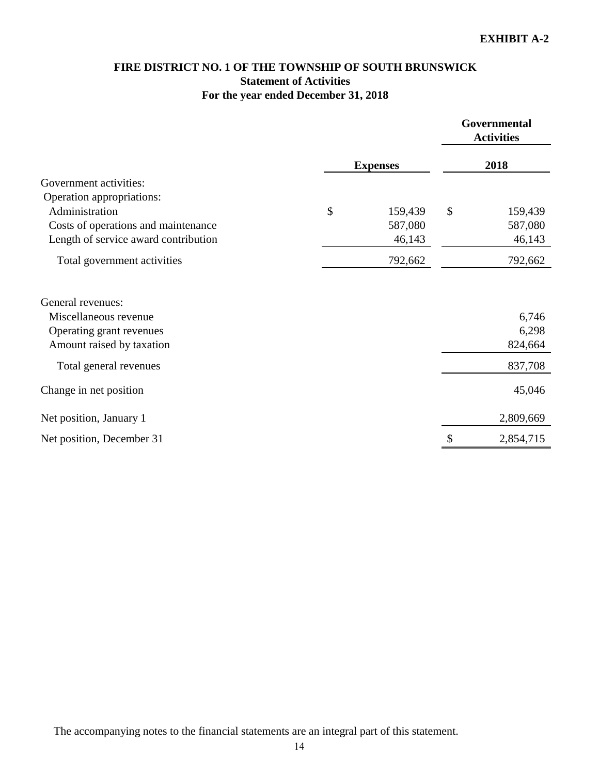# **FIRE DISTRICT NO. 1 OF THE TOWNSHIP OF SOUTH BRUNSWICK Statement of Activities For the year ended December 31, 2018**

|                                      |                           |         | Governmental<br><b>Activities</b> |
|--------------------------------------|---------------------------|---------|-----------------------------------|
|                                      | <b>Expenses</b>           |         | 2018                              |
| Government activities:               |                           |         |                                   |
| Operation appropriations:            |                           |         |                                   |
| Administration                       | $\boldsymbol{\mathsf{S}}$ | 159,439 | \$<br>159,439                     |
| Costs of operations and maintenance  |                           | 587,080 | 587,080                           |
| Length of service award contribution |                           | 46,143  | 46,143                            |
| Total government activities          |                           | 792,662 | 792,662                           |
| General revenues:                    |                           |         |                                   |
| Miscellaneous revenue                |                           |         | 6,746                             |
| Operating grant revenues             |                           |         | 6,298                             |
| Amount raised by taxation            |                           |         | 824,664                           |
| Total general revenues               |                           |         | 837,708                           |
| Change in net position               |                           |         | 45,046                            |
| Net position, January 1              |                           |         | 2,809,669                         |
| Net position, December 31            |                           |         | 2,854,715                         |

The accompanying notes to the financial statements are an integral part of this statement.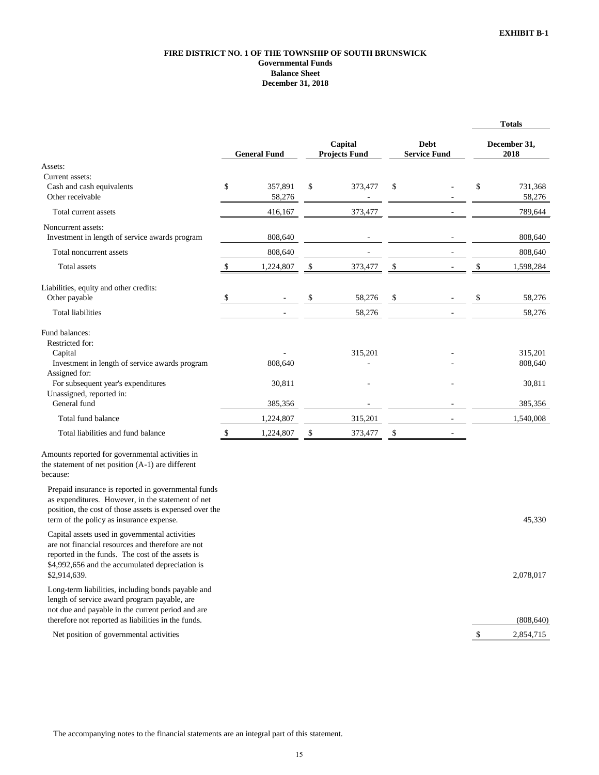The accompanying notes to the financial statements are an integral part of this statement.

|                                                                 |                     |                          |                                 |         |                                    |                          |                           | <b>Totals</b> |
|-----------------------------------------------------------------|---------------------|--------------------------|---------------------------------|---------|------------------------------------|--------------------------|---------------------------|---------------|
|                                                                 | <b>General Fund</b> |                          | Capital<br><b>Projects Fund</b> |         | <b>Debt</b><br><b>Service Fund</b> |                          | December 31,<br>2018      |               |
| Assets:                                                         |                     |                          |                                 |         |                                    |                          |                           |               |
| Current assets:                                                 |                     |                          |                                 |         |                                    |                          |                           |               |
| Cash and cash equivalents                                       | \$                  | 357,891                  | \$                              | 373,477 | $\mathcal{S}$                      |                          | \$                        | 731,368       |
| Other receivable                                                |                     | 58,276                   |                                 |         |                                    |                          |                           | 58,276        |
| Total current assets                                            |                     | 416,167                  |                                 | 373,477 |                                    |                          |                           | 789,644       |
| Noncurrent assets:                                              |                     |                          |                                 |         |                                    |                          |                           |               |
| Investment in length of service awards program                  |                     | 808,640                  |                                 |         |                                    |                          |                           | 808,640       |
| Total noncurrent assets                                         |                     | 808,640                  |                                 |         |                                    |                          |                           | 808,640       |
| <b>Total assets</b>                                             | $\mathbb{S}$        | 1,224,807                | \$                              | 373,477 | \$                                 |                          | \$                        | 1,598,284     |
| Liabilities, equity and other credits:                          |                     |                          |                                 |         |                                    |                          |                           |               |
| Other payable                                                   | \$                  |                          | \$                              | 58,276  | \$                                 |                          | $\boldsymbol{\mathsf{S}}$ | 58,276        |
| <b>Total liabilities</b>                                        |                     | $\overline{\phantom{a}}$ |                                 | 58,276  |                                    | $\overline{\phantom{a}}$ |                           | 58,276        |
| Fund balances:                                                  |                     |                          |                                 |         |                                    |                          |                           |               |
| Restricted for:                                                 |                     |                          |                                 |         |                                    |                          |                           |               |
| Capital                                                         |                     |                          |                                 | 315,201 |                                    |                          |                           | 315,201       |
| Investment in length of service awards program<br>Assigned for: |                     | 808,640                  |                                 |         |                                    |                          |                           | 808,640       |
| For subsequent year's expenditures                              |                     | 30,811                   |                                 |         |                                    |                          |                           | 30,811        |
| Unassigned, reported in:                                        |                     |                          |                                 |         |                                    |                          |                           |               |
| General fund                                                    |                     | 385,356                  |                                 |         |                                    |                          |                           | 385,356       |
| Total fund balance                                              |                     | 1,224,807                |                                 | 315,201 |                                    |                          |                           | 1,540,008     |
| Total liabilities and fund balance                              | \$                  | 1,224,807                | \$                              | 373,477 | \$                                 |                          |                           |               |

 Prepaid insurance is reported in governmental funds as expenditures. However, in the statement of net position, the cost of those assets is expensed over the term of the policy as insurance expense. 45,330

Amounts reported for governmental activities in the statement of net position (A-1) are different because:

 Capital assets used in governmental activities are not financial resources and therefore are not reported in the funds. The cost of the assets is \$4,992,656 and the accumulated depreciation is \$2,914,639. 2,078,017

 Long-term liabilities, including bonds payable and length of service award program payable, are not due and payable in the current period and are

therefore not reported as liabilities in the funds. (808,640)

Net position of governmental activities  $\qquad \qquad$  2,854,715



# **FIRE DISTRICT NO. 1 OF THE TOWNSHIP OF SOUTH BRUNSWICK Governmental Funds Balance Sheet December 31, 2018**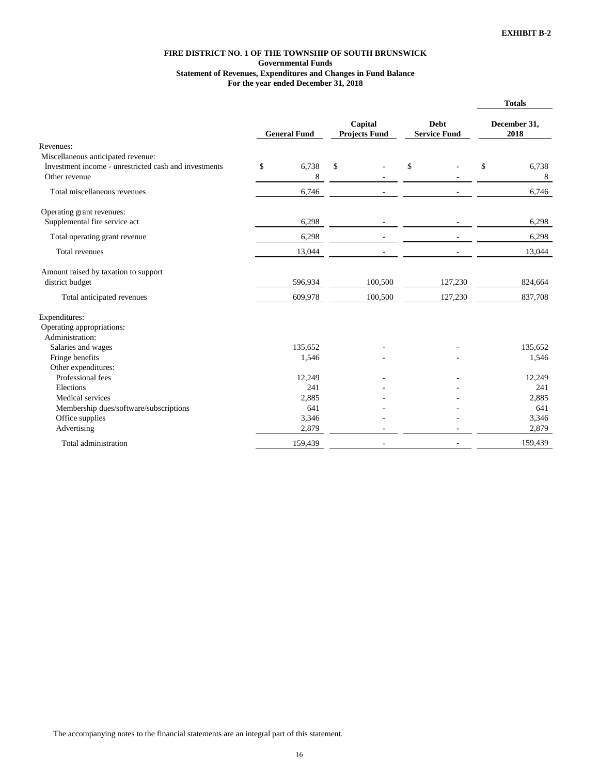The accompanying notes to the financial statements are an integral part of this statement.

|                                                       |                     |                                 |                                    | <b>Totals</b>        |  |
|-------------------------------------------------------|---------------------|---------------------------------|------------------------------------|----------------------|--|
|                                                       | <b>General Fund</b> | Capital<br><b>Projects Fund</b> | <b>Debt</b><br><b>Service Fund</b> | December 31,<br>2018 |  |
| Revenues:                                             |                     |                                 |                                    |                      |  |
| Miscellaneous anticipated revenue:                    |                     |                                 |                                    |                      |  |
| Investment income - unrestricted cash and investments | \$<br>6,738         | \$                              | \$                                 | \$<br>6,738          |  |
| Other revenue                                         | $8\phantom{.}$      |                                 |                                    | 8                    |  |
| Total miscellaneous revenues                          | 6,746               |                                 |                                    | 6,746                |  |
| Operating grant revenues:                             |                     |                                 |                                    |                      |  |
| Supplemental fire service act                         | 6,298               |                                 |                                    | 6,298                |  |
| Total operating grant revenue                         | 6,298               | $\overline{a}$                  |                                    | 6,298                |  |
| Total revenues                                        | 13,044              |                                 |                                    | 13,044               |  |
| Amount raised by taxation to support                  |                     |                                 |                                    |                      |  |
| district budget                                       | 596,934             | 100,500                         | 127,230                            | 824,664              |  |
| Total anticipated revenues                            | 609,978             | 100,500                         | 127,230                            | 837,708              |  |
| Expenditures:                                         |                     |                                 |                                    |                      |  |
| Operating appropriations:                             |                     |                                 |                                    |                      |  |
| Administration:                                       |                     |                                 |                                    |                      |  |
| Salaries and wages                                    | 135,652             |                                 |                                    | 135,652              |  |
| Fringe benefits                                       | 1,546               |                                 |                                    | 1,546                |  |
| Other expenditures:                                   |                     |                                 |                                    |                      |  |
| Professional fees                                     | 12,249              |                                 |                                    | 12,249               |  |
| Elections                                             | 241                 |                                 |                                    | 241                  |  |
| Medical services                                      | 2,885               |                                 |                                    | 2,885                |  |
| Membership dues/software/subscriptions                | 641                 |                                 |                                    | 641                  |  |
| Office supplies                                       | 3,346               |                                 |                                    | 3,346                |  |
| Advertising                                           | 2,879               |                                 |                                    | 2,879                |  |
| Total administration                                  | 159,439             | $\overline{\phantom{a}}$        |                                    | 159,439              |  |

# **FIRE DISTRICT NO. 1 OF THE TOWNSHIP OF SOUTH BRUNSWICK Governmental Funds Statement of Revenues, Expenditures and Changes in Fund Balance For the year ended December 31, 2018**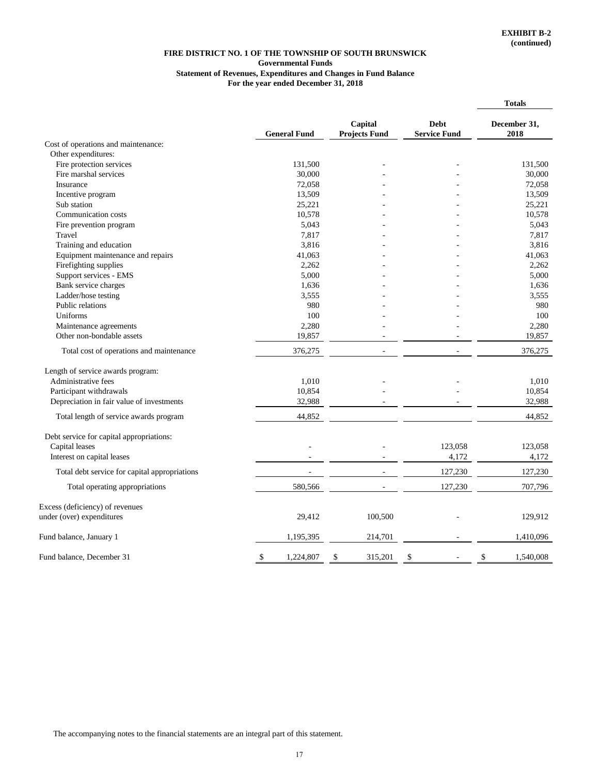The accompanying notes to the financial statements are an integral part of this statement.

**Totals**

|                                               | <b>General Fund</b> | Capital<br><b>Projects Fund</b> | <b>Debt</b><br><b>Service Fund</b> | December 31,<br>2018 |
|-----------------------------------------------|---------------------|---------------------------------|------------------------------------|----------------------|
| Cost of operations and maintenance:           |                     |                                 |                                    |                      |
| Other expenditures:                           |                     |                                 |                                    |                      |
| Fire protection services                      | 131,500             |                                 |                                    | 131,500              |
| Fire marshal services                         | 30,000              |                                 |                                    | 30,000               |
| Insurance                                     | 72,058              |                                 |                                    | 72,058               |
| Incentive program                             | 13,509              |                                 |                                    | 13,509               |
| Sub station                                   | 25,221              |                                 |                                    | 25,221               |
| Communication costs                           | 10,578              |                                 |                                    | 10,578               |
| Fire prevention program                       | 5,043               |                                 |                                    | 5,043                |
| Travel                                        | 7,817               |                                 |                                    | 7,817                |
| Training and education                        | 3,816               |                                 |                                    | 3,816                |
| Equipment maintenance and repairs             | 41,063              |                                 |                                    | 41,063               |
| Firefighting supplies                         | 2,262               |                                 |                                    | 2,262                |
| Support services - EMS                        | 5,000               |                                 |                                    | 5,000                |
| Bank service charges                          | 1,636               |                                 |                                    | 1,636                |
| Ladder/hose testing                           | 3,555               |                                 |                                    | 3,555                |
| <b>Public relations</b>                       | 980                 |                                 |                                    | 980                  |
| Uniforms                                      | 100                 |                                 |                                    | 100                  |
| Maintenance agreements                        | 2,280               |                                 |                                    | 2,280                |
| Other non-bondable assets                     | 19,857              |                                 |                                    | 19,857               |
| Total cost of operations and maintenance      | 376,275             |                                 |                                    | 376,275              |
| Length of service awards program:             |                     |                                 |                                    |                      |
| Administrative fees                           | 1,010               |                                 |                                    | 1,010                |
| Participant withdrawals                       | 10,854              |                                 |                                    | 10,854               |
| Depreciation in fair value of investments     | 32,988              |                                 |                                    | 32,988               |
| Total length of service awards program        | 44,852              |                                 |                                    | 44,852               |
| Debt service for capital appropriations:      |                     |                                 |                                    |                      |
| Capital leases                                |                     |                                 | 123,058                            | 123,058              |
| Interest on capital leases                    |                     |                                 | 4,172                              | 4,172                |
| Total debt service for capital appropriations |                     |                                 | 127,230                            | 127,230              |
| Total operating appropriations                | 580,566             |                                 | 127,230                            | 707,796              |
| Excess (deficiency) of revenues               |                     |                                 |                                    |                      |
| under (over) expenditures                     | 29,412              | 100,500                         |                                    | 129,912              |
| Fund balance, January 1                       | 1,195,395           | 214,701                         |                                    | 1,410,096            |
| Fund balance, December 31                     | 1,224,807<br>\$     | 315,201<br>\$                   | $\boldsymbol{\mathsf{S}}$          | 1,540,008<br>\$      |

# **FIRE DISTRICT NO. 1 OF THE TOWNSHIP OF SOUTH BRUNSWICK Governmental Funds Statement of Revenues, Expenditures and Changes in Fund Balance For the year ended December 31, 2018**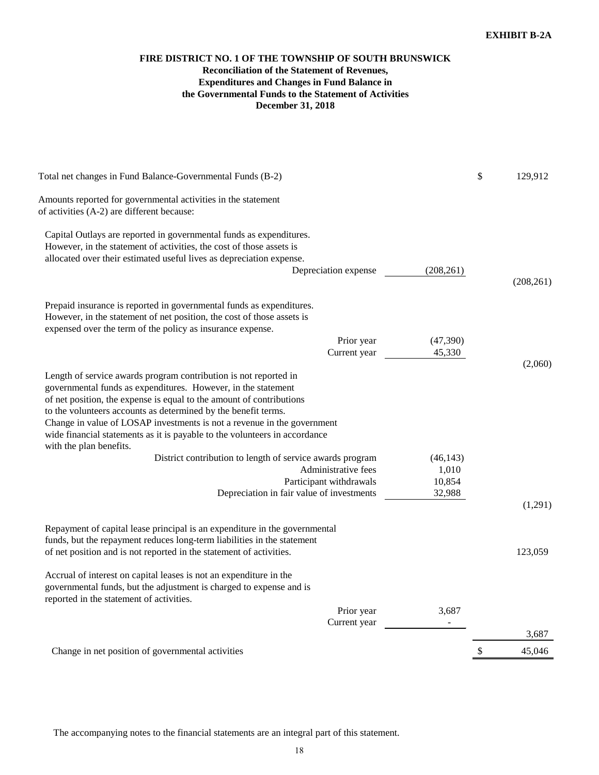# **December 31, 2018 FIRE DISTRICT NO. 1 OF THE TOWNSHIP OF SOUTH BRUNSWICK Reconciliation of the Statement of Revenues, Expenditures and Changes in Fund Balance in the Governmental Funds to the Statement of Activities**

| Total net changes in Fund Balance-Governmental Funds (B-2)                                                                                                                                                                                                                                                                                                                                                                                                      |                         |            | \$<br>129,912 |
|-----------------------------------------------------------------------------------------------------------------------------------------------------------------------------------------------------------------------------------------------------------------------------------------------------------------------------------------------------------------------------------------------------------------------------------------------------------------|-------------------------|------------|---------------|
| Amounts reported for governmental activities in the statement<br>of activities (A-2) are different because:                                                                                                                                                                                                                                                                                                                                                     |                         |            |               |
| Capital Outlays are reported in governmental funds as expenditures.<br>However, in the statement of activities, the cost of those assets is                                                                                                                                                                                                                                                                                                                     |                         |            |               |
| allocated over their estimated useful lives as depreciation expense.                                                                                                                                                                                                                                                                                                                                                                                            | Depreciation expense    | (208, 261) | (208, 261)    |
| Prepaid insurance is reported in governmental funds as expenditures.<br>However, in the statement of net position, the cost of those assets is<br>expensed over the term of the policy as insurance expense.                                                                                                                                                                                                                                                    |                         |            |               |
|                                                                                                                                                                                                                                                                                                                                                                                                                                                                 | Prior year              | (47,390)   |               |
|                                                                                                                                                                                                                                                                                                                                                                                                                                                                 | Current year            | 45,330     |               |
|                                                                                                                                                                                                                                                                                                                                                                                                                                                                 |                         |            | (2,060)       |
| Length of service awards program contribution is not reported in<br>governmental funds as expenditures. However, in the statement<br>of net position, the expense is equal to the amount of contributions<br>to the volunteers accounts as determined by the benefit terms.<br>Change in value of LOSAP investments is not a revenue in the government<br>wide financial statements as it is payable to the volunteers in accordance<br>with the plan benefits. |                         |            |               |
| District contribution to length of service awards program                                                                                                                                                                                                                                                                                                                                                                                                       |                         | (46, 143)  |               |
|                                                                                                                                                                                                                                                                                                                                                                                                                                                                 | Administrative fees     | 1,010      |               |
|                                                                                                                                                                                                                                                                                                                                                                                                                                                                 | Participant withdrawals | 10,854     |               |
| Depreciation in fair value of investments                                                                                                                                                                                                                                                                                                                                                                                                                       |                         | 32,988     |               |
|                                                                                                                                                                                                                                                                                                                                                                                                                                                                 |                         |            | (1,291)       |
| Repayment of capital lease principal is an expenditure in the governmental<br>funds, but the repayment reduces long-term liabilities in the statement                                                                                                                                                                                                                                                                                                           |                         |            |               |
| of net position and is not reported in the statement of activities.                                                                                                                                                                                                                                                                                                                                                                                             |                         |            | 123,059       |
| Accrual of interest on capital leases is not an expenditure in the<br>governmental funds, but the adjustment is charged to expense and is<br>reported in the statement of activities.                                                                                                                                                                                                                                                                           |                         |            |               |
|                                                                                                                                                                                                                                                                                                                                                                                                                                                                 | Prior year              | 3,687      |               |
|                                                                                                                                                                                                                                                                                                                                                                                                                                                                 | Current year            |            |               |
|                                                                                                                                                                                                                                                                                                                                                                                                                                                                 |                         |            | 3,687         |
| Change in net position of governmental activities                                                                                                                                                                                                                                                                                                                                                                                                               |                         |            | \$<br>45,046  |
|                                                                                                                                                                                                                                                                                                                                                                                                                                                                 |                         |            |               |

The accompanying notes to the financial statements are an integral part of this statement.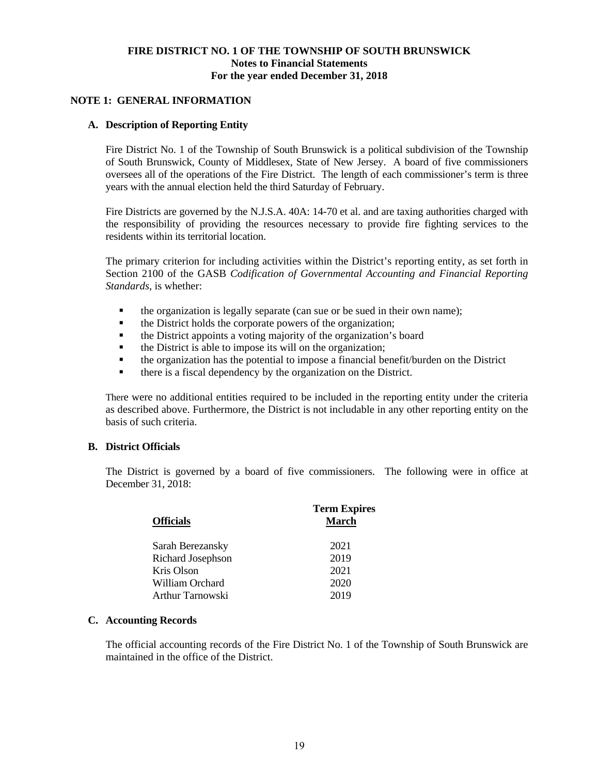#### **NOTE 1: GENERAL INFORMATION**

### **A. Description of Reporting Entity**

Fire District No. 1 of the Township of South Brunswick is a political subdivision of the Township of South Brunswick, County of Middlesex, State of New Jersey. A board of five commissioners oversees all of the operations of the Fire District. The length of each commissioner's term is three years with the annual election held the third Saturday of February.

Fire Districts are governed by the N.J.S.A. 40A: 14-70 et al. and are taxing authorities charged with the responsibility of providing the resources necessary to provide fire fighting services to the residents within its territorial location.

The primary criterion for including activities within the District's reporting entity, as set forth in Section 2100 of the GASB *Codification of Governmental Accounting and Financial Reporting Standards*, is whether:

- the organization is legally separate (can sue or be sued in their own name);
- **the District holds the corporate powers of the organization;**
- the District appoints a voting majority of the organization's board
- $\blacksquare$  the District is able to impose its will on the organization;
- the organization has the potential to impose a financial benefit/burden on the District
- there is a fiscal dependency by the organization on the District.

There were no additional entities required to be included in the reporting entity under the criteria as described above. Furthermore, the District is not includable in any other reporting entity on the basis of such criteria.

# **B. District Officials**

The District is governed by a board of five commissioners. The following were in office at December 31, 2018:

| <b>Officials</b>  | <b>Term Expires</b><br><b>March</b> |
|-------------------|-------------------------------------|
| Sarah Berezansky  | 2021                                |
| Richard Josephson | 2019                                |
| Kris Olson        | 2021                                |
| William Orchard   | 2020                                |
| Arthur Tarnowski  | 2019                                |

#### **C. Accounting Records**

The official accounting records of the Fire District No. 1 of the Township of South Brunswick are maintained in the office of the District.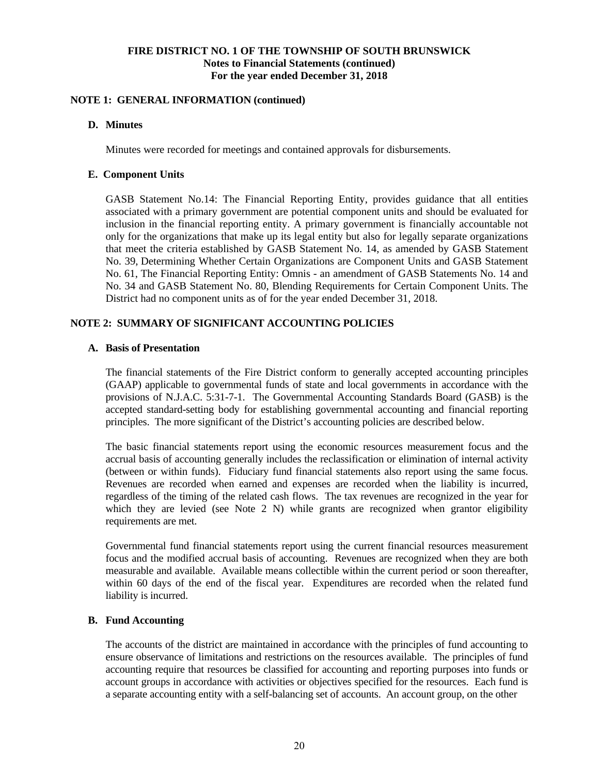## **NOTE 1: GENERAL INFORMATION (continued)**

#### **D. Minutes**

Minutes were recorded for meetings and contained approvals for disbursements.

#### **E. Component Units**

GASB Statement No.14: The Financial Reporting Entity, provides guidance that all entities associated with a primary government are potential component units and should be evaluated for inclusion in the financial reporting entity. A primary government is financially accountable not only for the organizations that make up its legal entity but also for legally separate organizations that meet the criteria established by GASB Statement No. 14, as amended by GASB Statement No. 39, Determining Whether Certain Organizations are Component Units and GASB Statement No. 61, The Financial Reporting Entity: Omnis - an amendment of GASB Statements No. 14 and No. 34 and GASB Statement No. 80, Blending Requirements for Certain Component Units. The District had no component units as of for the year ended December 31, 2018.

# **NOTE 2: SUMMARY OF SIGNIFICANT ACCOUNTING POLICIES**

#### **A. Basis of Presentation**

 The financial statements of the Fire District conform to generally accepted accounting principles (GAAP) applicable to governmental funds of state and local governments in accordance with the provisions of N.J.A.C. 5:31-7-1. The Governmental Accounting Standards Board (GASB) is the accepted standard-setting body for establishing governmental accounting and financial reporting principles. The more significant of the District's accounting policies are described below.

 The basic financial statements report using the economic resources measurement focus and the accrual basis of accounting generally includes the reclassification or elimination of internal activity (between or within funds). Fiduciary fund financial statements also report using the same focus. Revenues are recorded when earned and expenses are recorded when the liability is incurred, regardless of the timing of the related cash flows. The tax revenues are recognized in the year for which they are levied (see Note 2 N) while grants are recognized when grantor eligibility requirements are met.

 Governmental fund financial statements report using the current financial resources measurement focus and the modified accrual basis of accounting. Revenues are recognized when they are both measurable and available. Available means collectible within the current period or soon thereafter, within 60 days of the end of the fiscal year. Expenditures are recorded when the related fund liability is incurred.

#### **B. Fund Accounting**

The accounts of the district are maintained in accordance with the principles of fund accounting to ensure observance of limitations and restrictions on the resources available. The principles of fund accounting require that resources be classified for accounting and reporting purposes into funds or account groups in accordance with activities or objectives specified for the resources. Each fund is a separate accounting entity with a self-balancing set of accounts. An account group, on the other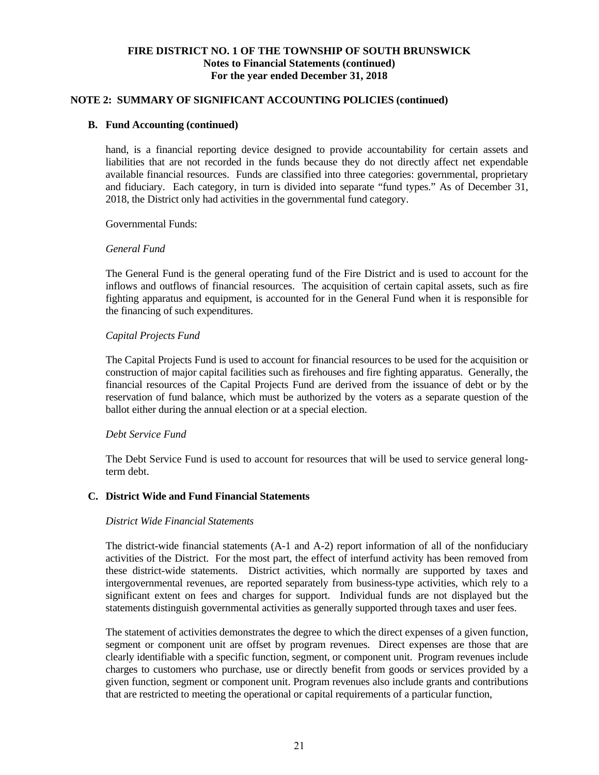#### **NOTE 2: SUMMARY OF SIGNIFICANT ACCOUNTING POLICIES (continued)**

#### **B. Fund Accounting (continued)**

hand, is a financial reporting device designed to provide accountability for certain assets and liabilities that are not recorded in the funds because they do not directly affect net expendable available financial resources. Funds are classified into three categories: governmental, proprietary and fiduciary. Each category, in turn is divided into separate "fund types." As of December 31, 2018, the District only had activities in the governmental fund category.

Governmental Funds:

#### *General Fund*

The General Fund is the general operating fund of the Fire District and is used to account for the inflows and outflows of financial resources. The acquisition of certain capital assets, such as fire fighting apparatus and equipment, is accounted for in the General Fund when it is responsible for the financing of such expenditures.

### *Capital Projects Fund*

The Capital Projects Fund is used to account for financial resources to be used for the acquisition or construction of major capital facilities such as firehouses and fire fighting apparatus. Generally, the financial resources of the Capital Projects Fund are derived from the issuance of debt or by the reservation of fund balance, which must be authorized by the voters as a separate question of the ballot either during the annual election or at a special election.

#### *Debt Service Fund*

The Debt Service Fund is used to account for resources that will be used to service general longterm debt.

#### **C. District Wide and Fund Financial Statements**

#### *District Wide Financial Statements*

The district-wide financial statements (A-1 and A-2) report information of all of the nonfiduciary activities of the District. For the most part, the effect of interfund activity has been removed from these district-wide statements. District activities, which normally are supported by taxes and intergovernmental revenues, are reported separately from business-type activities, which rely to a significant extent on fees and charges for support. Individual funds are not displayed but the statements distinguish governmental activities as generally supported through taxes and user fees.

The statement of activities demonstrates the degree to which the direct expenses of a given function, segment or component unit are offset by program revenues. Direct expenses are those that are clearly identifiable with a specific function, segment, or component unit. Program revenues include charges to customers who purchase, use or directly benefit from goods or services provided by a given function, segment or component unit. Program revenues also include grants and contributions that are restricted to meeting the operational or capital requirements of a particular function,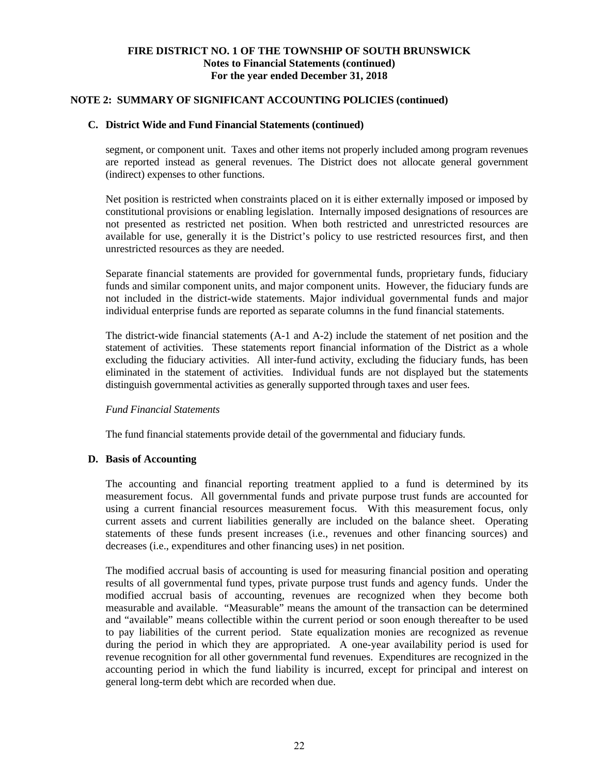# **NOTE 2: SUMMARY OF SIGNIFICANT ACCOUNTING POLICIES (continued)**

## **C. District Wide and Fund Financial Statements (continued)**

segment, or component unit. Taxes and other items not properly included among program revenues are reported instead as general revenues. The District does not allocate general government (indirect) expenses to other functions.

Net position is restricted when constraints placed on it is either externally imposed or imposed by constitutional provisions or enabling legislation. Internally imposed designations of resources are not presented as restricted net position. When both restricted and unrestricted resources are available for use, generally it is the District's policy to use restricted resources first, and then unrestricted resources as they are needed.

Separate financial statements are provided for governmental funds, proprietary funds, fiduciary funds and similar component units, and major component units. However, the fiduciary funds are not included in the district-wide statements. Major individual governmental funds and major individual enterprise funds are reported as separate columns in the fund financial statements.

The district-wide financial statements (A-1 and A-2) include the statement of net position and the statement of activities. These statements report financial information of the District as a whole excluding the fiduciary activities. All inter-fund activity, excluding the fiduciary funds, has been eliminated in the statement of activities. Individual funds are not displayed but the statements distinguish governmental activities as generally supported through taxes and user fees.

#### *Fund Financial Statements*

The fund financial statements provide detail of the governmental and fiduciary funds.

# **D. Basis of Accounting**

The accounting and financial reporting treatment applied to a fund is determined by its measurement focus. All governmental funds and private purpose trust funds are accounted for using a current financial resources measurement focus. With this measurement focus, only current assets and current liabilities generally are included on the balance sheet. Operating statements of these funds present increases (i.e., revenues and other financing sources) and decreases (i.e., expenditures and other financing uses) in net position.

The modified accrual basis of accounting is used for measuring financial position and operating results of all governmental fund types, private purpose trust funds and agency funds. Under the modified accrual basis of accounting, revenues are recognized when they become both measurable and available. "Measurable" means the amount of the transaction can be determined and "available" means collectible within the current period or soon enough thereafter to be used to pay liabilities of the current period. State equalization monies are recognized as revenue during the period in which they are appropriated. A one-year availability period is used for revenue recognition for all other governmental fund revenues. Expenditures are recognized in the accounting period in which the fund liability is incurred, except for principal and interest on general long-term debt which are recorded when due.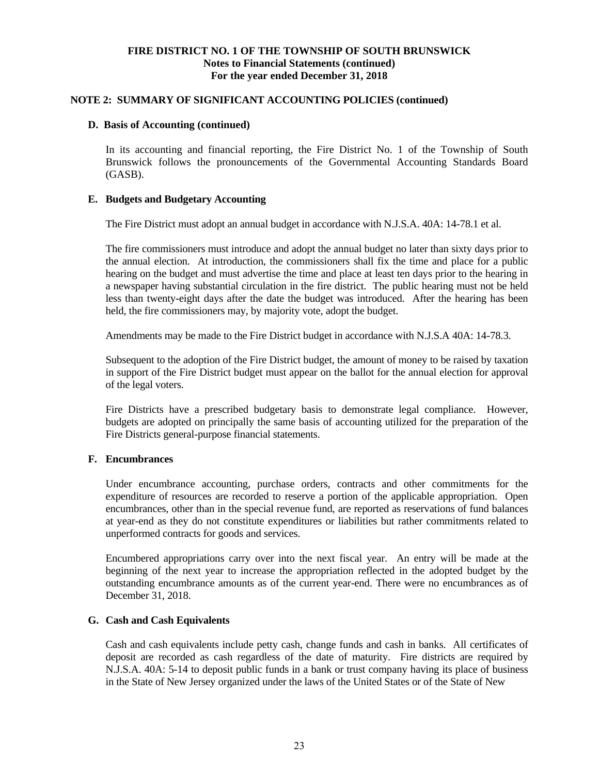#### **NOTE 2: SUMMARY OF SIGNIFICANT ACCOUNTING POLICIES (continued)**

#### **D. Basis of Accounting (continued)**

In its accounting and financial reporting, the Fire District No. 1 of the Township of South Brunswick follows the pronouncements of the Governmental Accounting Standards Board (GASB).

# **E. Budgets and Budgetary Accounting**

The Fire District must adopt an annual budget in accordance with N.J.S.A. 40A: 14-78.1 et al.

The fire commissioners must introduce and adopt the annual budget no later than sixty days prior to the annual election. At introduction, the commissioners shall fix the time and place for a public hearing on the budget and must advertise the time and place at least ten days prior to the hearing in a newspaper having substantial circulation in the fire district. The public hearing must not be held less than twenty-eight days after the date the budget was introduced. After the hearing has been held, the fire commissioners may, by majority vote, adopt the budget.

Amendments may be made to the Fire District budget in accordance with N.J.S.A 40A: 14-78.3.

Subsequent to the adoption of the Fire District budget, the amount of money to be raised by taxation in support of the Fire District budget must appear on the ballot for the annual election for approval of the legal voters.

Fire Districts have a prescribed budgetary basis to demonstrate legal compliance. However, budgets are adopted on principally the same basis of accounting utilized for the preparation of the Fire Districts general-purpose financial statements.

#### **F. Encumbrances**

 Under encumbrance accounting, purchase orders, contracts and other commitments for the expenditure of resources are recorded to reserve a portion of the applicable appropriation. Open encumbrances, other than in the special revenue fund, are reported as reservations of fund balances at year-end as they do not constitute expenditures or liabilities but rather commitments related to unperformed contracts for goods and services.

 Encumbered appropriations carry over into the next fiscal year. An entry will be made at the beginning of the next year to increase the appropriation reflected in the adopted budget by the outstanding encumbrance amounts as of the current year-end. There were no encumbrances as of December 31, 2018.

#### **G. Cash and Cash Equivalents**

 Cash and cash equivalents include petty cash, change funds and cash in banks. All certificates of deposit are recorded as cash regardless of the date of maturity. Fire districts are required by N.J.S.A. 40A: 5-14 to deposit public funds in a bank or trust company having its place of business in the State of New Jersey organized under the laws of the United States or of the State of New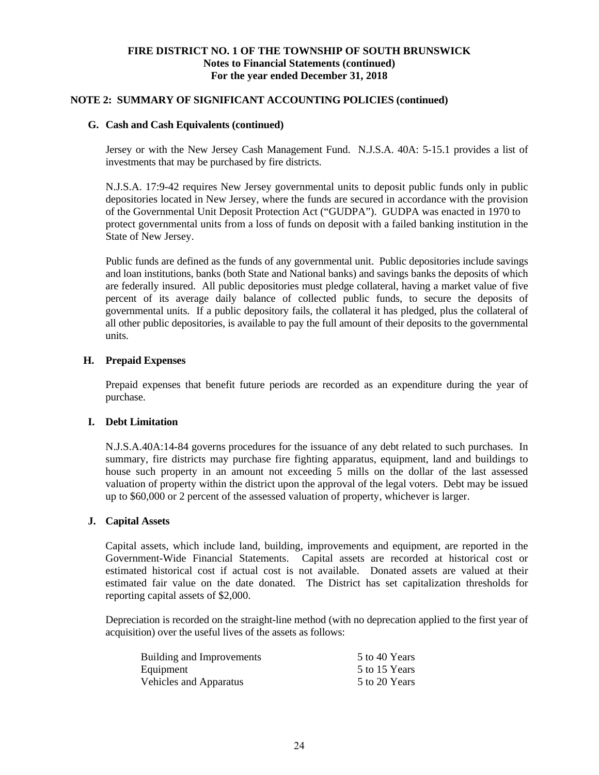## **NOTE 2: SUMMARY OF SIGNIFICANT ACCOUNTING POLICIES (continued)**

### **G. Cash and Cash Equivalents (continued)**

 Jersey or with the New Jersey Cash Management Fund. N.J.S.A. 40A: 5-15.1 provides a list of investments that may be purchased by fire districts.

 N.J.S.A. 17:9-42 requires New Jersey governmental units to deposit public funds only in public depositories located in New Jersey, where the funds are secured in accordance with the provision of the Governmental Unit Deposit Protection Act ("GUDPA"). GUDPA was enacted in 1970 to protect governmental units from a loss of funds on deposit with a failed banking institution in the State of New Jersey.

Public funds are defined as the funds of any governmental unit. Public depositories include savings and loan institutions, banks (both State and National banks) and savings banks the deposits of which are federally insured. All public depositories must pledge collateral, having a market value of five percent of its average daily balance of collected public funds, to secure the deposits of governmental units. If a public depository fails, the collateral it has pledged, plus the collateral of all other public depositories, is available to pay the full amount of their deposits to the governmental units.

## **H. Prepaid Expenses**

Prepaid expenses that benefit future periods are recorded as an expenditure during the year of purchase.

#### **I. Debt Limitation**

N.J.S.A.40A:14-84 governs procedures for the issuance of any debt related to such purchases. In summary, fire districts may purchase fire fighting apparatus, equipment, land and buildings to house such property in an amount not exceeding 5 mills on the dollar of the last assessed valuation of property within the district upon the approval of the legal voters. Debt may be issued up to \$60,000 or 2 percent of the assessed valuation of property, whichever is larger.

#### **J. Capital Assets**

Capital assets, which include land, building, improvements and equipment, are reported in the Government-Wide Financial Statements. Capital assets are recorded at historical cost or estimated historical cost if actual cost is not available. Donated assets are valued at their estimated fair value on the date donated. The District has set capitalization thresholds for reporting capital assets of \$2,000.

Depreciation is recorded on the straight-line method (with no deprecation applied to the first year of acquisition) over the useful lives of the assets as follows:

| Building and Improvements     | 5 to 40 Years |
|-------------------------------|---------------|
| Equipment                     | 5 to 15 Years |
| <b>Vehicles and Apparatus</b> | 5 to 20 Years |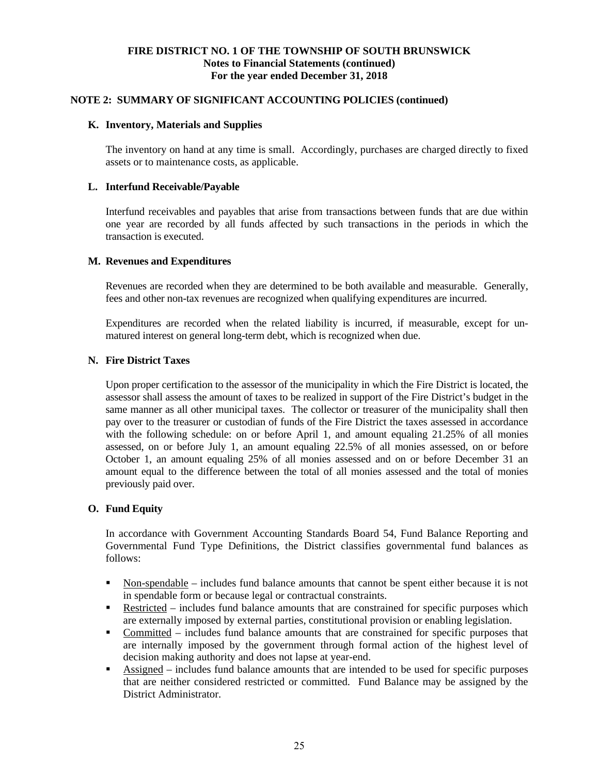### **NOTE 2: SUMMARY OF SIGNIFICANT ACCOUNTING POLICIES (continued)**

### **K. Inventory, Materials and Supplies**

The inventory on hand at any time is small. Accordingly, purchases are charged directly to fixed assets or to maintenance costs, as applicable.

#### **L. Interfund Receivable/Payable**

Interfund receivables and payables that arise from transactions between funds that are due within one year are recorded by all funds affected by such transactions in the periods in which the transaction is executed.

### **M. Revenues and Expenditures**

Revenues are recorded when they are determined to be both available and measurable. Generally, fees and other non-tax revenues are recognized when qualifying expenditures are incurred.

Expenditures are recorded when the related liability is incurred, if measurable, except for unmatured interest on general long-term debt, which is recognized when due.

## **N. Fire District Taxes**

Upon proper certification to the assessor of the municipality in which the Fire District is located, the assessor shall assess the amount of taxes to be realized in support of the Fire District's budget in the same manner as all other municipal taxes. The collector or treasurer of the municipality shall then pay over to the treasurer or custodian of funds of the Fire District the taxes assessed in accordance with the following schedule: on or before April 1, and amount equaling 21.25% of all monies assessed, on or before July 1, an amount equaling 22.5% of all monies assessed, on or before October 1, an amount equaling 25% of all monies assessed and on or before December 31 an amount equal to the difference between the total of all monies assessed and the total of monies previously paid over.

# **O. Fund Equity**

In accordance with Government Accounting Standards Board 54, Fund Balance Reporting and Governmental Fund Type Definitions, the District classifies governmental fund balances as follows:

- Non-spendable includes fund balance amounts that cannot be spent either because it is not in spendable form or because legal or contractual constraints.
- Restricted includes fund balance amounts that are constrained for specific purposes which are externally imposed by external parties, constitutional provision or enabling legislation.
- Committed includes fund balance amounts that are constrained for specific purposes that are internally imposed by the government through formal action of the highest level of decision making authority and does not lapse at year-end.
- Assigned includes fund balance amounts that are intended to be used for specific purposes that are neither considered restricted or committed. Fund Balance may be assigned by the District Administrator.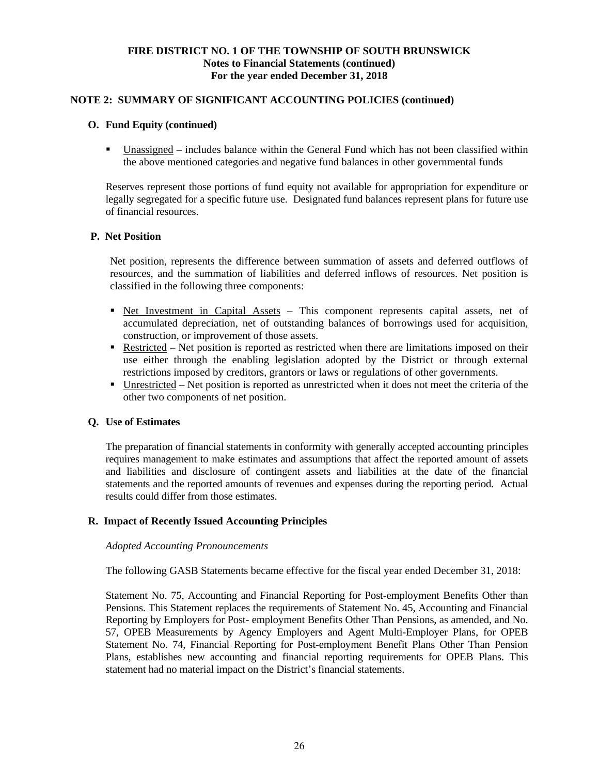## **NOTE 2: SUMMARY OF SIGNIFICANT ACCOUNTING POLICIES (continued)**

#### **O. Fund Equity (continued)**

 Unassigned – includes balance within the General Fund which has not been classified within the above mentioned categories and negative fund balances in other governmental funds

Reserves represent those portions of fund equity not available for appropriation for expenditure or legally segregated for a specific future use. Designated fund balances represent plans for future use of financial resources.

### **P. Net Position**

Net position, represents the difference between summation of assets and deferred outflows of resources, and the summation of liabilities and deferred inflows of resources. Net position is classified in the following three components:

- Net Investment in Capital Assets This component represents capital assets, net of accumulated depreciation, net of outstanding balances of borrowings used for acquisition, construction, or improvement of those assets.
- Restricted Net position is reported as restricted when there are limitations imposed on their use either through the enabling legislation adopted by the District or through external restrictions imposed by creditors, grantors or laws or regulations of other governments.
- Unrestricted Net position is reported as unrestricted when it does not meet the criteria of the other two components of net position.

# **Q. Use of Estimates**

The preparation of financial statements in conformity with generally accepted accounting principles requires management to make estimates and assumptions that affect the reported amount of assets and liabilities and disclosure of contingent assets and liabilities at the date of the financial statements and the reported amounts of revenues and expenses during the reporting period. Actual results could differ from those estimates.

# **R. Impact of Recently Issued Accounting Principles**

#### *Adopted Accounting Pronouncements*

The following GASB Statements became effective for the fiscal year ended December 31, 2018:

Statement No. 75, Accounting and Financial Reporting for Post-employment Benefits Other than Pensions. This Statement replaces the requirements of Statement No. 45, Accounting and Financial Reporting by Employers for Post- employment Benefits Other Than Pensions, as amended, and No. 57, OPEB Measurements by Agency Employers and Agent Multi-Employer Plans, for OPEB Statement No. 74, Financial Reporting for Post-employment Benefit Plans Other Than Pension Plans, establishes new accounting and financial reporting requirements for OPEB Plans. This statement had no material impact on the District's financial statements.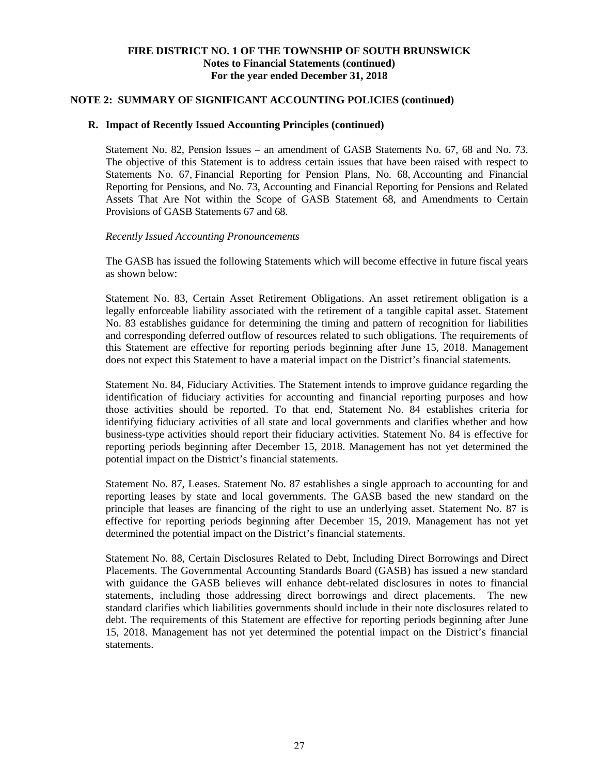### **NOTE 2: SUMMARY OF SIGNIFICANT ACCOUNTING POLICIES (continued)**

### **R. Impact of Recently Issued Accounting Principles (continued)**

Statement No. 82, Pension Issues – an amendment of GASB Statements No. 67, 68 and No. 73. The objective of this Statement is to address certain issues that have been raised with respect to Statements No. 67, Financial Reporting for Pension Plans, No. 68, Accounting and Financial Reporting for Pensions, and No. 73, Accounting and Financial Reporting for Pensions and Related Assets That Are Not within the Scope of GASB Statement 68, and Amendments to Certain Provisions of GASB Statements 67 and 68.

#### *Recently Issued Accounting Pronouncements*

The GASB has issued the following Statements which will become effective in future fiscal years as shown below:

Statement No. 83, Certain Asset Retirement Obligations. An asset retirement obligation is a legally enforceable liability associated with the retirement of a tangible capital asset. Statement No. 83 establishes guidance for determining the timing and pattern of recognition for liabilities and corresponding deferred outflow of resources related to such obligations. The requirements of this Statement are effective for reporting periods beginning after June 15, 2018. Management does not expect this Statement to have a material impact on the District's financial statements.

Statement No. 84, Fiduciary Activities. The Statement intends to improve guidance regarding the identification of fiduciary activities for accounting and financial reporting purposes and how those activities should be reported. To that end, Statement No. 84 establishes criteria for identifying fiduciary activities of all state and local governments and clarifies whether and how business-type activities should report their fiduciary activities. Statement No. 84 is effective for reporting periods beginning after December 15, 2018. Management has not yet determined the potential impact on the District's financial statements.

Statement No. 87, Leases. Statement No. 87 establishes a single approach to accounting for and reporting leases by state and local governments. The GASB based the new standard on the principle that leases are financing of the right to use an underlying asset. Statement No. 87 is effective for reporting periods beginning after December 15, 2019. Management has not yet determined the potential impact on the District's financial statements.

Statement No. 88, Certain Disclosures Related to Debt, Including Direct Borrowings and Direct Placements. The Governmental Accounting Standards Board (GASB) has issued a new standard with guidance the GASB believes will enhance debt-related disclosures in notes to financial statements, including those addressing direct borrowings and direct placements. The new standard clarifies which liabilities governments should include in their note disclosures related to debt. The requirements of this Statement are effective for reporting periods beginning after June 15, 2018. Management has not yet determined the potential impact on the District's financial statements.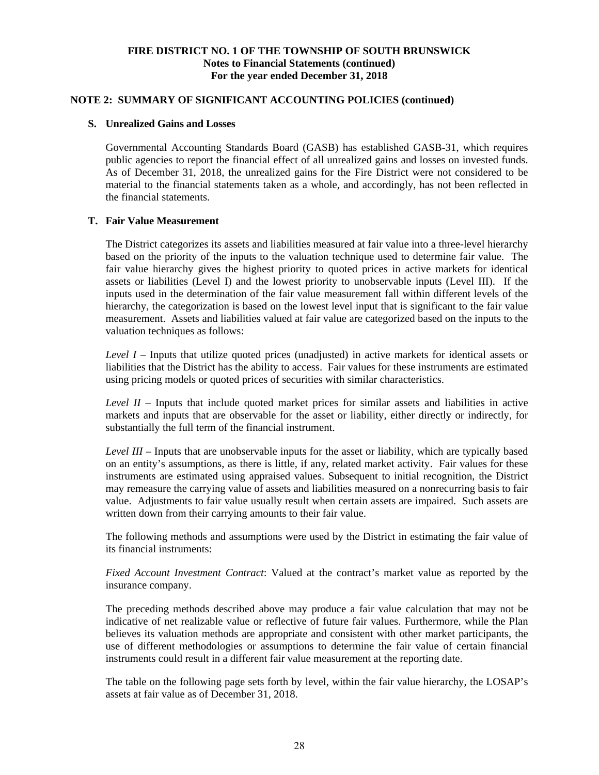#### **NOTE 2: SUMMARY OF SIGNIFICANT ACCOUNTING POLICIES (continued)**

#### **S. Unrealized Gains and Losses**

Governmental Accounting Standards Board (GASB) has established GASB-31, which requires public agencies to report the financial effect of all unrealized gains and losses on invested funds. As of December 31, 2018, the unrealized gains for the Fire District were not considered to be material to the financial statements taken as a whole, and accordingly, has not been reflected in the financial statements.

### **T. Fair Value Measurement**

The District categorizes its assets and liabilities measured at fair value into a three-level hierarchy based on the priority of the inputs to the valuation technique used to determine fair value. The fair value hierarchy gives the highest priority to quoted prices in active markets for identical assets or liabilities (Level I) and the lowest priority to unobservable inputs (Level III). If the inputs used in the determination of the fair value measurement fall within different levels of the hierarchy, the categorization is based on the lowest level input that is significant to the fair value measurement. Assets and liabilities valued at fair value are categorized based on the inputs to the valuation techniques as follows:

*Level I –* Inputs that utilize quoted prices (unadjusted) in active markets for identical assets or liabilities that the District has the ability to access. Fair values for these instruments are estimated using pricing models or quoted prices of securities with similar characteristics.

*Level II –* Inputs that include quoted market prices for similar assets and liabilities in active markets and inputs that are observable for the asset or liability, either directly or indirectly, for substantially the full term of the financial instrument.

*Level III –* Inputs that are unobservable inputs for the asset or liability, which are typically based on an entity's assumptions, as there is little, if any, related market activity. Fair values for these instruments are estimated using appraised values. Subsequent to initial recognition, the District may remeasure the carrying value of assets and liabilities measured on a nonrecurring basis to fair value. Adjustments to fair value usually result when certain assets are impaired. Such assets are written down from their carrying amounts to their fair value.

The following methods and assumptions were used by the District in estimating the fair value of its financial instruments:

*Fixed Account Investment Contract*: Valued at the contract's market value as reported by the insurance company.

The preceding methods described above may produce a fair value calculation that may not be indicative of net realizable value or reflective of future fair values. Furthermore, while the Plan believes its valuation methods are appropriate and consistent with other market participants, the use of different methodologies or assumptions to determine the fair value of certain financial instruments could result in a different fair value measurement at the reporting date.

The table on the following page sets forth by level, within the fair value hierarchy, the LOSAP's assets at fair value as of December 31, 2018.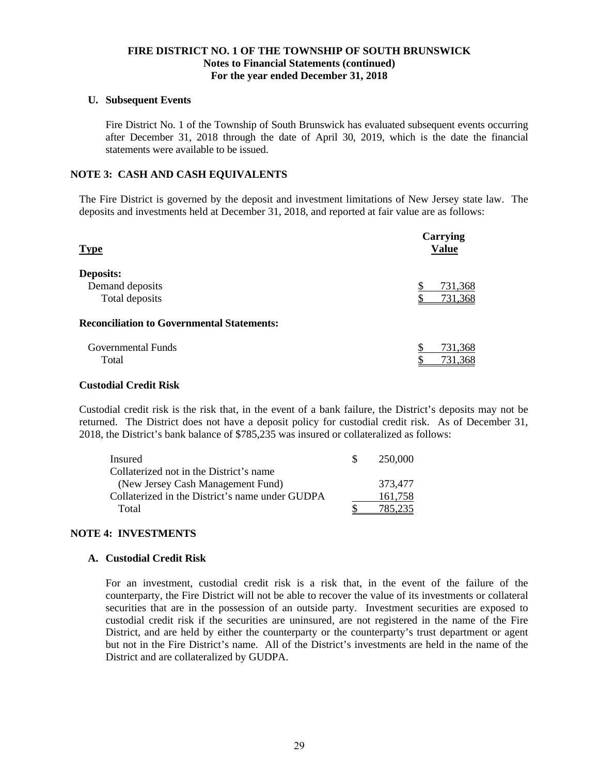#### **U. Subsequent Events**

Fire District No. 1 of the Township of South Brunswick has evaluated subsequent events occurring after December 31, 2018 through the date of April 30, 2019, which is the date the financial statements were available to be issued.

# **NOTE 3: CASH AND CASH EQUIVALENTS**

The Fire District is governed by the deposit and investment limitations of New Jersey state law. The deposits and investments held at December 31, 2018, and reported at fair value are as follows:

| <b>Type</b>                                                         | Carrying<br><b>Value</b> |
|---------------------------------------------------------------------|--------------------------|
| <b>Deposits:</b>                                                    | 731,368                  |
| Demand deposits                                                     | 731,368                  |
| Total deposits<br><b>Reconciliation to Governmental Statements:</b> |                          |
| Governmental Funds                                                  | 731,368                  |
| Total                                                               | 731,368                  |

## **Custodial Credit Risk**

Custodial credit risk is the risk that, in the event of a bank failure, the District's deposits may not be returned. The District does not have a deposit policy for custodial credit risk. As of December 31, 2018, the District's bank balance of \$785,235 was insured or collateralized as follows:

| Insured                                         | 250,000 |
|-------------------------------------------------|---------|
| Collaterized not in the District's name         |         |
| (New Jersey Cash Management Fund)               | 373.477 |
| Collaterized in the District's name under GUDPA | 161.758 |
| Total                                           |         |

# **NOTE 4: INVESTMENTS**

# **A. Custodial Credit Risk**

For an investment, custodial credit risk is a risk that, in the event of the failure of the counterparty, the Fire District will not be able to recover the value of its investments or collateral securities that are in the possession of an outside party. Investment securities are exposed to custodial credit risk if the securities are uninsured, are not registered in the name of the Fire District, and are held by either the counterparty or the counterparty's trust department or agent but not in the Fire District's name. All of the District's investments are held in the name of the District and are collateralized by GUDPA.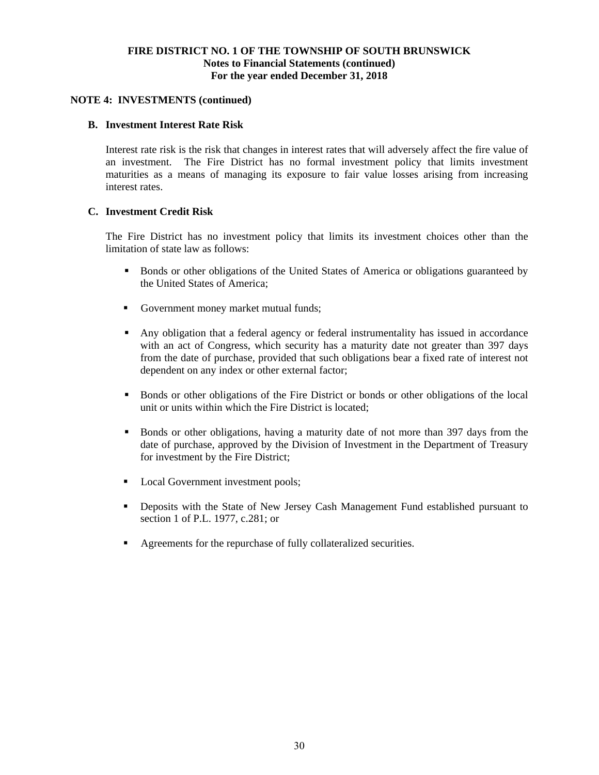## **NOTE 4: INVESTMENTS (continued)**

### **B. Investment Interest Rate Risk**

Interest rate risk is the risk that changes in interest rates that will adversely affect the fire value of an investment. The Fire District has no formal investment policy that limits investment maturities as a means of managing its exposure to fair value losses arising from increasing interest rates.

### **C. Investment Credit Risk**

The Fire District has no investment policy that limits its investment choices other than the limitation of state law as follows:

- **Bonds** or other obligations of the United States of America or obligations guaranteed by the United States of America;
- Government money market mutual funds;
- Any obligation that a federal agency or federal instrumentality has issued in accordance with an act of Congress, which security has a maturity date not greater than 397 days from the date of purchase, provided that such obligations bear a fixed rate of interest not dependent on any index or other external factor;
- **Bonds or other obligations of the Fire District or bonds or other obligations of the local** unit or units within which the Fire District is located;
- Bonds or other obligations, having a maturity date of not more than 397 days from the date of purchase, approved by the Division of Investment in the Department of Treasury for investment by the Fire District;
- Local Government investment pools;
- Deposits with the State of New Jersey Cash Management Fund established pursuant to section 1 of P.L. 1977, c.281; or
- Agreements for the repurchase of fully collateralized securities.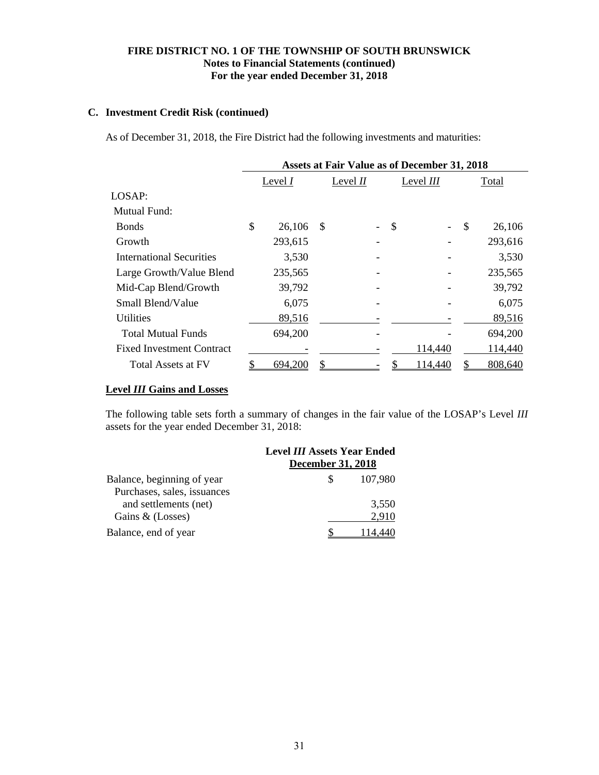## **C. Investment Credit Risk (continued)**

As of December 31, 2018, the Fire District had the following investments and maturities:

|                                  |              |    |            |    | <b>Assets at Fair Value as of December 31, 2018</b> |               |
|----------------------------------|--------------|----|------------|----|-----------------------------------------------------|---------------|
|                                  | Level $I$    |    | Level $II$ |    | Level III                                           | Total         |
| LOSAP:                           |              |    |            |    |                                                     |               |
| <b>Mutual Fund:</b>              |              |    |            |    |                                                     |               |
| <b>Bonds</b>                     | \$<br>26,106 | -S |            | \$ |                                                     | \$<br>26,106  |
| Growth                           | 293,615      |    |            |    |                                                     | 293,616       |
| <b>International Securities</b>  | 3,530        |    |            |    |                                                     | 3,530         |
| Large Growth/Value Blend         | 235,565      |    |            |    |                                                     | 235,565       |
| Mid-Cap Blend/Growth             | 39,792       |    |            |    |                                                     | 39,792        |
| Small Blend/Value                | 6,075        |    |            |    |                                                     | 6,075         |
| <b>Utilities</b>                 | 89,516       |    |            |    |                                                     | 89,516        |
| <b>Total Mutual Funds</b>        | 694,200      |    |            |    |                                                     | 694,200       |
| <b>Fixed Investment Contract</b> |              |    |            |    | 114,440                                             | 114,440       |
| <b>Total Assets at FV</b>        | 694,200      | \$ |            |    | 114,440                                             | \$<br>808,640 |

# **Level** *III* **Gains and Losses**

The following table sets forth a summary of changes in the fair value of the LOSAP's Level *III*  assets for the year ended December 31, 2018:

|                             | <b>Level III Assets Year Ended</b><br><b>December 31, 2018</b> |         |
|-----------------------------|----------------------------------------------------------------|---------|
| Balance, beginning of year  | S                                                              | 107,980 |
| Purchases, sales, issuances |                                                                |         |
| and settlements (net)       |                                                                | 3,550   |
| Gains & (Losses)            |                                                                | 2.910   |
| Balance, end of year        |                                                                |         |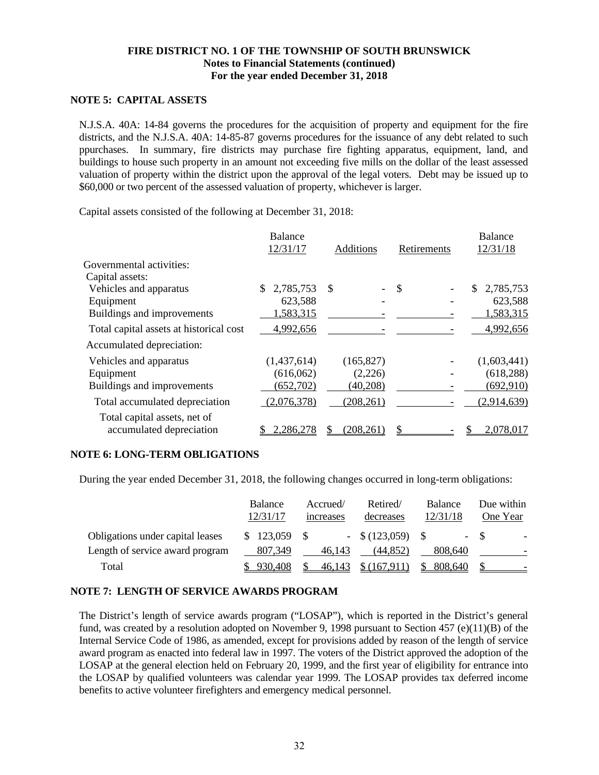## **NOTE 5: CAPITAL ASSETS**

N.J.S.A. 40A: 14-84 governs the procedures for the acquisition of property and equipment for the fire districts, and the N.J.S.A. 40A: 14-85-87 governs procedures for the issuance of any debt related to such ppurchases. In summary, fire districts may purchase fire fighting apparatus, equipment, land, and buildings to house such property in an amount not exceeding five mills on the dollar of the least assessed valuation of property within the district upon the approval of the legal voters. Debt may be issued up to \$60,000 or two percent of the assessed valuation of property, whichever is larger.

Capital assets consisted of the following at December 31, 2018:

|                                                          | <b>Balance</b><br>12/31/17 | Additions  | Retirements | Balance<br>12/31/18 |
|----------------------------------------------------------|----------------------------|------------|-------------|---------------------|
| Governmental activities:                                 |                            |            |             |                     |
| Capital assets:                                          |                            |            |             |                     |
| Vehicles and apparatus                                   | 2,785,753<br>\$.           | \$         | \$          | \$<br>2,785,753     |
| Equipment                                                | 623,588                    |            |             | 623,588             |
| Buildings and improvements                               | 1,583,315                  |            |             | 1,583,315           |
| Total capital assets at historical cost                  | 4,992,656                  |            |             | 4,992,656           |
| Accumulated depreciation:                                |                            |            |             |                     |
| Vehicles and apparatus                                   | (1,437,614)                | (165, 827) |             | (1,603,441)         |
| Equipment                                                | (616,062)                  | (2,226)    |             | (618, 288)          |
| Buildings and improvements                               | (652, 702)                 | (40, 208)  |             | (692, 910)          |
| Total accumulated depreciation                           | (2,076,378)                | (208, 261) |             | (2,914,639)         |
| Total capital assets, net of<br>accumulated depreciation | 2,286,278                  | (208,261   |             | 2,078,017           |

# **NOTE 6: LONG-TERM OBLIGATIONS**

During the year ended December 31, 2018, the following changes occurred in long-term obligations:

|                                  | Balance<br>12/31/17 | Accrued/<br><i>ncreases</i> | Retired/<br>decreases | <b>Balance</b><br>12/31/18 | Due within<br>One Year |
|----------------------------------|---------------------|-----------------------------|-----------------------|----------------------------|------------------------|
| Obligations under capital leases | \$123,059           | -SS                         | $-$ \$ (123,059)      | - \$                       | - \$                   |
| Length of service award program  | 807.349             | 46.143                      | (44.852)              | 808.640                    |                        |
| Total                            | 930,408             | 46,143                      | (167, 911)            | 808,640                    |                        |

# **NOTE 7: LENGTH OF SERVICE AWARDS PROGRAM**

The District's length of service awards program ("LOSAP"), which is reported in the District's general fund, was created by a resolution adopted on November 9, 1998 pursuant to Section 457 (e)(11)(B) of the Internal Service Code of 1986, as amended, except for provisions added by reason of the length of service award program as enacted into federal law in 1997. The voters of the District approved the adoption of the LOSAP at the general election held on February 20, 1999, and the first year of eligibility for entrance into the LOSAP by qualified volunteers was calendar year 1999. The LOSAP provides tax deferred income benefits to active volunteer firefighters and emergency medical personnel.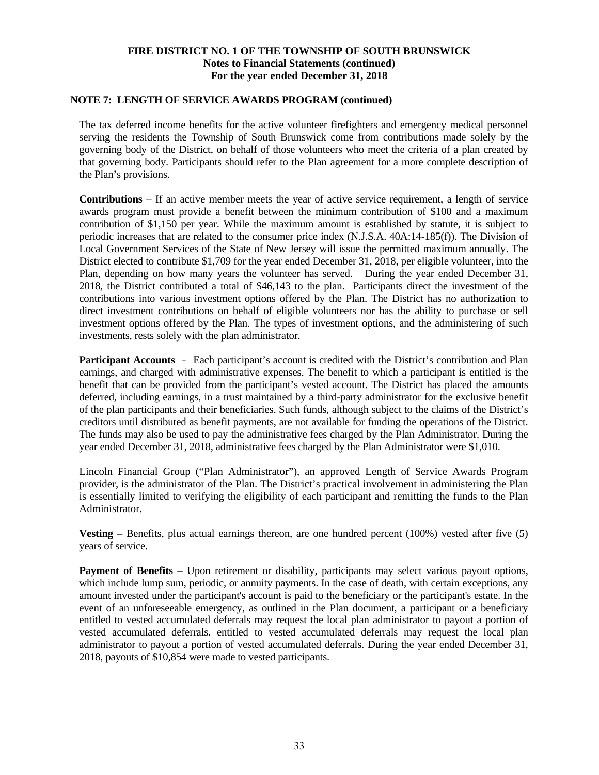## **NOTE 7: LENGTH OF SERVICE AWARDS PROGRAM (continued)**

The tax deferred income benefits for the active volunteer firefighters and emergency medical personnel serving the residents the Township of South Brunswick come from contributions made solely by the governing body of the District, on behalf of those volunteers who meet the criteria of a plan created by that governing body. Participants should refer to the Plan agreement for a more complete description of the Plan's provisions.

**Contributions** – If an active member meets the year of active service requirement, a length of service awards program must provide a benefit between the minimum contribution of \$100 and a maximum contribution of \$1,150 per year. While the maximum amount is established by statute, it is subject to periodic increases that are related to the consumer price index (N.J.S.A. 40A:14-185(f)). The Division of Local Government Services of the State of New Jersey will issue the permitted maximum annually. The District elected to contribute \$1,709 for the year ended December 31, 2018, per eligible volunteer, into the Plan, depending on how many years the volunteer has served. During the year ended December 31, 2018, the District contributed a total of \$46,143 to the plan. Participants direct the investment of the contributions into various investment options offered by the Plan. The District has no authorization to direct investment contributions on behalf of eligible volunteers nor has the ability to purchase or sell investment options offered by the Plan. The types of investment options, and the administering of such investments, rests solely with the plan administrator.

**Participant Accounts** - Each participant's account is credited with the District's contribution and Plan earnings, and charged with administrative expenses. The benefit to which a participant is entitled is the benefit that can be provided from the participant's vested account. The District has placed the amounts deferred, including earnings, in a trust maintained by a third-party administrator for the exclusive benefit of the plan participants and their beneficiaries. Such funds, although subject to the claims of the District's creditors until distributed as benefit payments, are not available for funding the operations of the District. The funds may also be used to pay the administrative fees charged by the Plan Administrator. During the year ended December 31, 2018, administrative fees charged by the Plan Administrator were \$1,010.

Lincoln Financial Group ("Plan Administrator"), an approved Length of Service Awards Program provider, is the administrator of the Plan. The District's practical involvement in administering the Plan is essentially limited to verifying the eligibility of each participant and remitting the funds to the Plan Administrator.

**Vesting** – Benefits, plus actual earnings thereon, are one hundred percent (100%) vested after five (5) years of service.

**Payment of Benefits** – Upon retirement or disability, participants may select various payout options, which include lump sum, periodic, or annuity payments. In the case of death, with certain exceptions, any amount invested under the participant's account is paid to the beneficiary or the participant's estate. In the event of an unforeseeable emergency, as outlined in the Plan document, a participant or a beneficiary entitled to vested accumulated deferrals may request the local plan administrator to payout a portion of vested accumulated deferrals. entitled to vested accumulated deferrals may request the local plan administrator to payout a portion of vested accumulated deferrals. During the year ended December 31, 2018, payouts of \$10,854 were made to vested participants.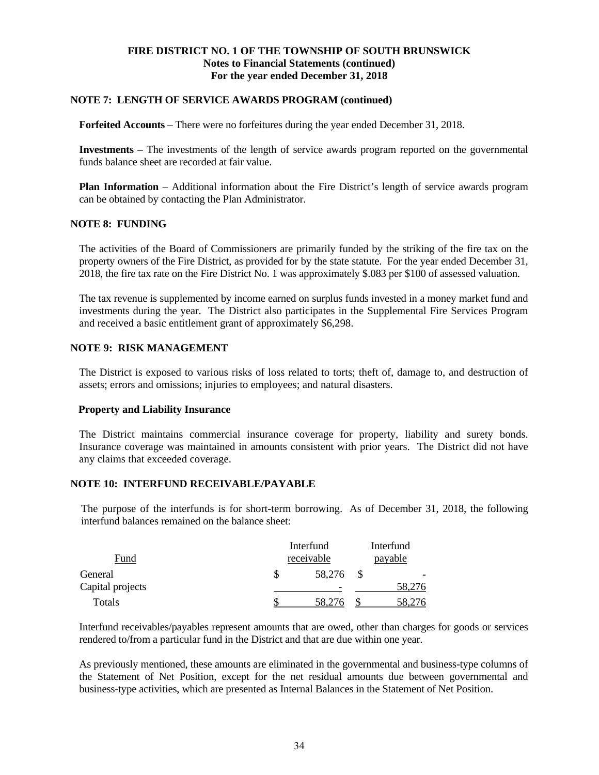#### **NOTE 7: LENGTH OF SERVICE AWARDS PROGRAM (continued)**

**Forfeited Accounts** – There were no forfeitures during the year ended December 31, 2018.

**Investments** – The investments of the length of service awards program reported on the governmental funds balance sheet are recorded at fair value.

**Plan Information** – Additional information about the Fire District's length of service awards program can be obtained by contacting the Plan Administrator.

### **NOTE 8: FUNDING**

The activities of the Board of Commissioners are primarily funded by the striking of the fire tax on the property owners of the Fire District, as provided for by the state statute. For the year ended December 31, 2018, the fire tax rate on the Fire District No. 1 was approximately \$.083 per \$100 of assessed valuation.

The tax revenue is supplemented by income earned on surplus funds invested in a money market fund and investments during the year. The District also participates in the Supplemental Fire Services Program and received a basic entitlement grant of approximately \$6,298.

# **NOTE 9: RISK MANAGEMENT**

The District is exposed to various risks of loss related to torts; theft of, damage to, and destruction of assets; errors and omissions; injuries to employees; and natural disasters.

#### **Property and Liability Insurance**

The District maintains commercial insurance coverage for property, liability and surety bonds. Insurance coverage was maintained in amounts consistent with prior years. The District did not have any claims that exceeded coverage.

## **NOTE 10: INTERFUND RECEIVABLE/PAYABLE**

The purpose of the interfunds is for short-term borrowing. As of December 31, 2018, the following interfund balances remained on the balance sheet:

|                  | Interfund                | Interfund      |
|------------------|--------------------------|----------------|
| Fund             | receivable               | <i>payable</i> |
| General          | 58,276                   |                |
| Capital projects | $\overline{\phantom{0}}$ | 58,276         |
| Totals           | 58,276                   |                |

Interfund receivables/payables represent amounts that are owed, other than charges for goods or services rendered to/from a particular fund in the District and that are due within one year.

As previously mentioned, these amounts are eliminated in the governmental and business-type columns of the Statement of Net Position, except for the net residual amounts due between governmental and business-type activities, which are presented as Internal Balances in the Statement of Net Position.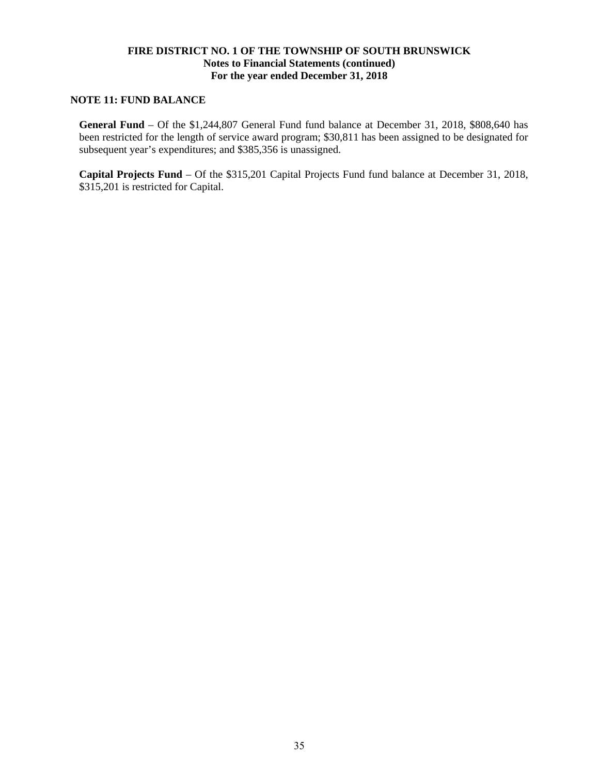### **NOTE 11: FUND BALANCE**

**General Fund** – Of the \$1,244,807 General Fund fund balance at December 31, 2018, \$808,640 has been restricted for the length of service award program; \$30,811 has been assigned to be designated for subsequent year's expenditures; and \$385,356 is unassigned.

**Capital Projects Fund** – Of the \$315,201 Capital Projects Fund fund balance at December 31, 2018, \$315,201 is restricted for Capital.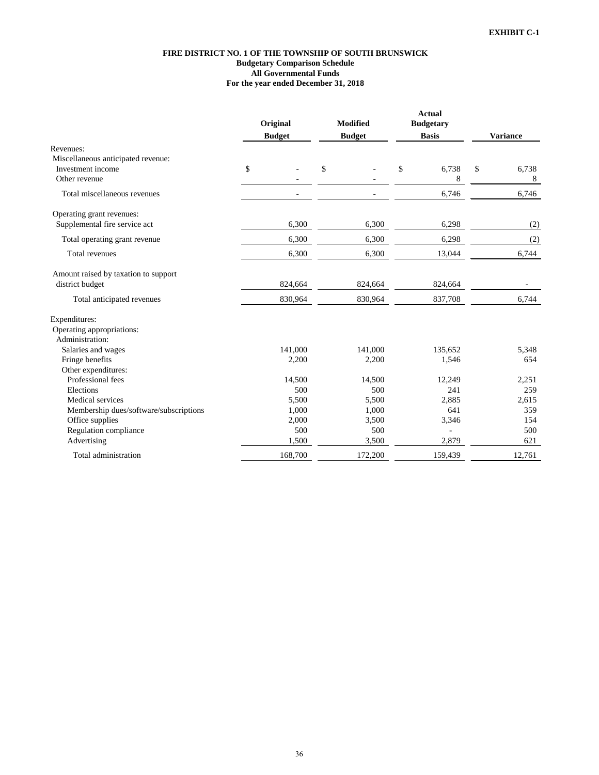# **FIRE DISTRICT NO. 1 OF THE TOWNSHIP OF SOUTH BRUNSWICK Budgetary Comparison Schedule For the year ended December 31, 2018 All Governmental Funds**

|                                        | Original      | <b>Modified</b> | <b>Actual</b><br><b>Budgetary</b> |                  |
|----------------------------------------|---------------|-----------------|-----------------------------------|------------------|
|                                        | <b>Budget</b> | <b>Budget</b>   | <b>Basis</b>                      | <b>Variance</b>  |
| Revenues:                              |               |                 |                                   |                  |
| Miscellaneous anticipated revenue:     |               |                 |                                   |                  |
| Investment income<br>Other revenue     | \$            | \$              | \$<br>6,738<br>$8\,$              | \$<br>6,738<br>8 |
| Total miscellaneous revenues           |               |                 | 6,746                             | 6,746            |
| Operating grant revenues:              |               |                 |                                   |                  |
| Supplemental fire service act          | 6,300         | 6,300           | 6,298                             | (2)              |
| Total operating grant revenue          | 6,300         | 6,300           | 6,298                             | (2)              |
| Total revenues                         | 6,300         | 6,300           | 13,044                            | 6,744            |
| Amount raised by taxation to support   |               |                 |                                   |                  |
| district budget                        | 824,664       | 824,664         | 824,664                           |                  |
| Total anticipated revenues             | 830,964       | 830,964         | 837,708                           | 6,744            |
| Expenditures:                          |               |                 |                                   |                  |
| Operating appropriations:              |               |                 |                                   |                  |
| Administration:                        |               |                 |                                   |                  |
| Salaries and wages                     | 141,000       | 141,000         | 135,652                           | 5,348            |
| Fringe benefits                        | 2,200         | 2,200           | 1,546                             | 654              |
| Other expenditures:                    |               |                 |                                   |                  |
| Professional fees                      | 14,500        | 14,500          | 12,249                            | 2,251            |
| Elections                              | 500           | 500             | 241                               | 259              |
| Medical services                       | 5,500         | 5,500           | 2,885                             | 2,615            |
| Membership dues/software/subscriptions | 1,000         | 1,000           | 641                               | 359              |
| Office supplies                        | 2,000         | 3,500           | 3,346                             | 154              |
| Regulation compliance                  | 500           | 500             | $\overline{a}$                    | 500              |
| Advertising                            | 1,500         | 3,500           | 2,879                             | 621              |
| Total administration                   | 168,700       | 172,200         | 159,439                           | 12,761           |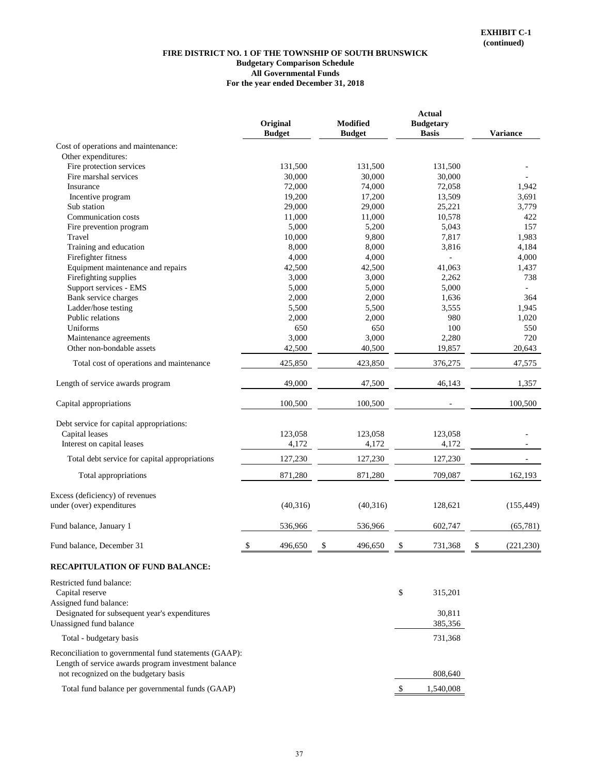# **Budgetary Comparison Schedule For the year ended December 31, 2018 FIRE DISTRICT NO. 1 OF THE TOWNSHIP OF SOUTH BRUNSWICK All Governmental Funds**

|                                                        | Original<br><b>Budget</b> |          |                            | <b>Modified</b><br><b>Budget</b> | <b>Actual</b><br><b>Budgetary</b><br><b>Basis</b> | <b>Variance</b> |
|--------------------------------------------------------|---------------------------|----------|----------------------------|----------------------------------|---------------------------------------------------|-----------------|
| Cost of operations and maintenance:                    |                           |          |                            |                                  |                                                   |                 |
| Other expenditures:                                    |                           |          |                            |                                  |                                                   |                 |
| Fire protection services                               |                           | 131,500  |                            | 131,500                          | 131,500                                           |                 |
| Fire marshal services                                  |                           | 30,000   |                            | 30,000                           | 30,000                                            |                 |
| Insurance                                              |                           | 72,000   |                            | 74,000                           | 72,058                                            | 1,942           |
| Incentive program                                      |                           | 19,200   |                            | 17,200                           | 13,509                                            | 3,691           |
| Sub station                                            |                           | 29,000   |                            | 29,000                           | 25,221                                            | 3,779           |
| Communication costs                                    |                           | 11,000   |                            | 11,000                           | 10,578                                            | 422             |
| Fire prevention program                                |                           | 5,000    |                            | 5,200                            | 5,043                                             | 157             |
| Travel                                                 |                           | 10,000   |                            | 9,800                            | 7,817                                             | 1,983           |
| Training and education                                 |                           | 8,000    |                            | 8,000                            | 3,816                                             | 4,184           |
| Firefighter fitness                                    |                           | 4,000    |                            | 4,000                            |                                                   | 4,000           |
| Equipment maintenance and repairs                      |                           | 42,500   |                            | 42,500                           | 41,063                                            | 1,437           |
| Firefighting supplies                                  |                           | 3,000    |                            | 3,000                            | 2,262                                             | 738             |
| Support services - EMS                                 |                           | 5,000    |                            | 5,000                            | 5,000                                             |                 |
| Bank service charges                                   |                           | 2,000    |                            | 2,000                            | 1,636                                             | 364             |
| Ladder/hose testing                                    |                           | 5,500    |                            | 5,500                            | 3,555                                             | 1,945           |
| Public relations                                       |                           | 2,000    |                            | 2,000                            | 980                                               | 1,020           |
| Uniforms                                               |                           | 650      |                            | 650                              | 100                                               | 550             |
| Maintenance agreements                                 |                           | 3,000    |                            | 3,000                            | 2,280                                             | 720             |
| Other non-bondable assets                              |                           | 42,500   |                            | 40,500                           | 19,857                                            | 20,643          |
| Total cost of operations and maintenance               |                           | 425,850  |                            | 423,850                          | 376,275                                           | 47,575          |
| Length of service awards program                       |                           | 49,000   |                            | 47,500                           | 46,143                                            | 1,357           |
| Capital appropriations                                 |                           | 100,500  |                            | 100,500                          |                                                   | 100,500         |
| Debt service for capital appropriations:               |                           |          |                            |                                  |                                                   |                 |
| Capital leases                                         |                           | 123,058  |                            | 123,058                          | 123,058                                           |                 |
| Interest on capital leases                             |                           | 4,172    |                            | 4,172                            | 4,172                                             |                 |
| Total debt service for capital appropriations          |                           | 127,230  |                            | 127,230                          | 127,230                                           |                 |
| Total appropriations                                   |                           | 871,280  |                            | 871,280                          | 709,087                                           | 162,193         |
| Excess (deficiency) of revenues                        |                           |          |                            |                                  |                                                   |                 |
| under (over) expenditures                              |                           | (40,316) |                            | (40,316)                         | 128,621                                           | (155, 449)      |
|                                                        |                           |          |                            |                                  |                                                   |                 |
| Fund balance, January 1                                |                           | 536,966  |                            | 536,966                          | 602,747                                           | (65,781)        |
| Fund balance, December 31                              |                           | 496,650  | $\boldsymbol{\mathcal{S}}$ | 496,650                          | 731,368                                           | (221, 230)      |
| <b>RECAPITULATION OF FUND BALANCE:</b>                 |                           |          |                            |                                  |                                                   |                 |
| <b>Restricted fund balance:</b>                        |                           |          |                            |                                  |                                                   |                 |
| Capital reserve                                        |                           |          |                            |                                  | \$<br>315,201                                     |                 |
| Assigned fund balance:                                 |                           |          |                            |                                  |                                                   |                 |
| Designated for subsequent year's expenditures          |                           |          |                            |                                  | 30,811                                            |                 |
| Unassigned fund balance                                |                           |          |                            |                                  | 385,356                                           |                 |
| Total - budgetary basis                                |                           |          |                            |                                  | 731,368                                           |                 |
|                                                        |                           |          |                            |                                  |                                                   |                 |
| Reconciliation to governmental fund statements (GAAP): |                           |          |                            |                                  |                                                   |                 |
| Length of service awards program investment balance    |                           |          |                            |                                  |                                                   |                 |
| not recognized on the budgetary basis                  |                           |          |                            |                                  | 808,640                                           |                 |
| Total fund balance per governmental funds (GAAP)       |                           |          |                            |                                  | \$<br>1,540,008                                   |                 |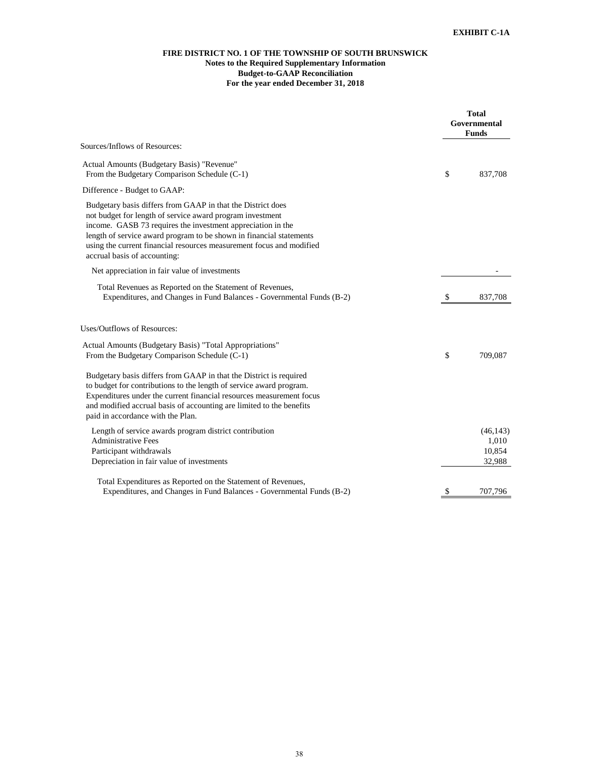# **For the year ended December 31, 2018 FIRE DISTRICT NO. 1 OF THE TOWNSHIP OF SOUTH BRUNSWICK Notes to the Required Supplementary Information Budget-to-GAAP Reconciliation**

|                                                                                                                                                                                                                                                                                                                                                                        | <b>Total</b><br>Governmental<br><b>Funds</b> |
|------------------------------------------------------------------------------------------------------------------------------------------------------------------------------------------------------------------------------------------------------------------------------------------------------------------------------------------------------------------------|----------------------------------------------|
| Sources/Inflows of Resources:                                                                                                                                                                                                                                                                                                                                          |                                              |
| Actual Amounts (Budgetary Basis) "Revenue"<br>From the Budgetary Comparison Schedule (C-1)                                                                                                                                                                                                                                                                             | \$<br>837,708                                |
| Difference - Budget to GAAP:                                                                                                                                                                                                                                                                                                                                           |                                              |
| Budgetary basis differs from GAAP in that the District does<br>not budget for length of service award program investment<br>income. GASB 73 requires the investment appreciation in the<br>length of service award program to be shown in financial statements<br>using the current financial resources measurement focus and modified<br>accrual basis of accounting: |                                              |
| Net appreciation in fair value of investments                                                                                                                                                                                                                                                                                                                          |                                              |
| Total Revenues as Reported on the Statement of Revenues,<br>Expenditures, and Changes in Fund Balances - Governmental Funds (B-2)                                                                                                                                                                                                                                      | \$<br>837,708                                |
| <b>Uses/Outflows of Resources:</b>                                                                                                                                                                                                                                                                                                                                     |                                              |
| Actual Amounts (Budgetary Basis) "Total Appropriations"<br>From the Budgetary Comparison Schedule (C-1)                                                                                                                                                                                                                                                                | \$<br>709,087                                |
| Budgetary basis differs from GAAP in that the District is required<br>to budget for contributions to the length of service award program.<br>Expenditures under the current financial resources measurement focus<br>and modified accrual basis of accounting are limited to the benefits<br>paid in accordance with the Plan.                                         |                                              |
| Length of service awards program district contribution<br><b>Administrative Fees</b><br>Participant withdrawals<br>Depreciation in fair value of investments                                                                                                                                                                                                           | (46, 143)<br>1,010<br>10,854<br>32,988       |
| Total Expenditures as Reported on the Statement of Revenues,<br>Expenditures, and Changes in Fund Balances - Governmental Funds (B-2)                                                                                                                                                                                                                                  | 707,796                                      |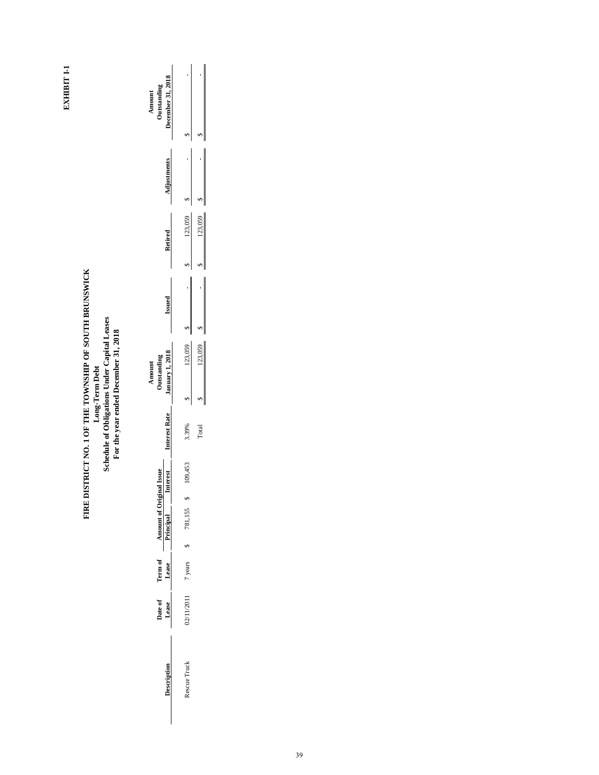Description

| <b>Interest</b>  |            | <b>Amount of Original Issue</b><br>Principal |
|------------------|------------|----------------------------------------------|
| 3.39%<br>109,453 | 781,155 \$ |                                              |
| Total            |            |                                              |

39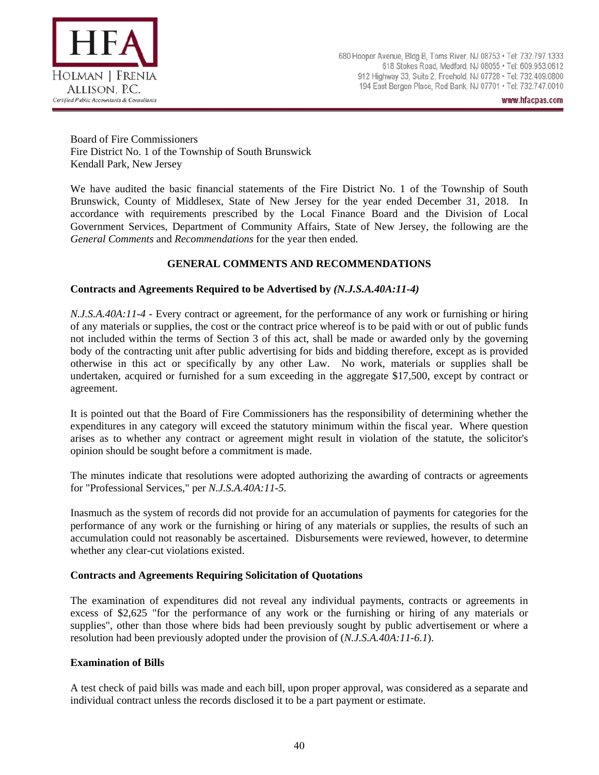

www.hfacpas.com

Board of Fire Commissioners Fire District No. 1 of the Township of South Brunswick Kendall Park, New Jersey

We have audited the basic financial statements of the Fire District No. 1 of the Township of South Brunswick, County of Middlesex, State of New Jersey for the year ended December 31, 2018. In accordance with requirements prescribed by the Local Finance Board and the Division of Local Government Services, Department of Community Affairs, State of New Jersey, the following are the *General Comments* and *Recommendations* for the year then ended.

# **GENERAL COMMENTS AND RECOMMENDATIONS**

# **Contracts and Agreements Required to be Advertised by** *(N.J.S.A.40A:11-4)*

*N.J.S.A.40A:11-4* - Every contract or agreement, for the performance of any work or furnishing or hiring of any materials or supplies, the cost or the contract price whereof is to be paid with or out of public funds not included within the terms of Section 3 of this act, shall be made or awarded only by the governing body of the contracting unit after public advertising for bids and bidding therefore, except as is provided otherwise in this act or specifically by any other Law. No work, materials or supplies shall be undertaken, acquired or furnished for a sum exceeding in the aggregate \$17,500, except by contract or agreement.

It is pointed out that the Board of Fire Commissioners has the responsibility of determining whether the expenditures in any category will exceed the statutory minimum within the fiscal year. Where question arises as to whether any contract or agreement might result in violation of the statute, the solicitor's opinion should be sought before a commitment is made.

The minutes indicate that resolutions were adopted authorizing the awarding of contracts or agreements for "Professional Services," per *N.J.S.A.40A:11-5.*

Inasmuch as the system of records did not provide for an accumulation of payments for categories for the performance of any work or the furnishing or hiring of any materials or supplies, the results of such an accumulation could not reasonably be ascertained. Disbursements were reviewed, however, to determine whether any clear-cut violations existed.

# **Contracts and Agreements Requiring Solicitation of Quotations**

The examination of expenditures did not reveal any individual payments, contracts or agreements in excess of \$2,625 "for the performance of any work or the furnishing or hiring of any materials or supplies", other than those where bids had been previously sought by public advertisement or where a resolution had been previously adopted under the provision of (*N.J.S.A.40A:11-6.1*).

#### **Examination of Bills**

A test check of paid bills was made and each bill, upon proper approval, was considered as a separate and individual contract unless the records disclosed it to be a part payment or estimate.